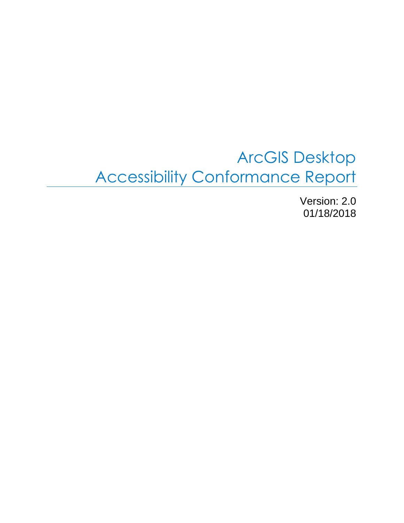# ArcGIS Desktop Accessibility Conformance Report

Version: 2.0 01/18/2018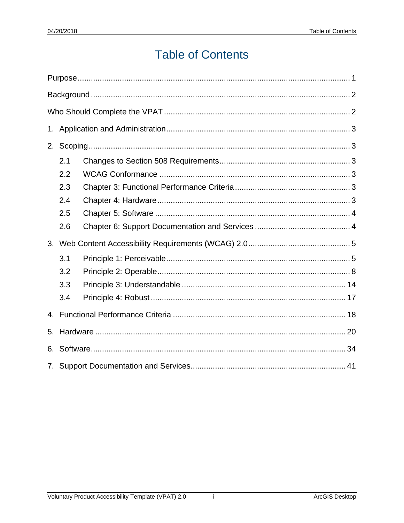# **Table of Contents**

| 2.          |     |  |
|-------------|-----|--|
|             | 2.1 |  |
|             | 2.2 |  |
|             | 2.3 |  |
|             | 2.4 |  |
|             | 2.5 |  |
|             | 2.6 |  |
| 3.          |     |  |
|             | 3.1 |  |
|             | 3.2 |  |
|             | 3.3 |  |
|             | 3.4 |  |
| $4_{\cdot}$ |     |  |
| 5.          |     |  |
| 6.          |     |  |
|             |     |  |

 $\mathbf{i}$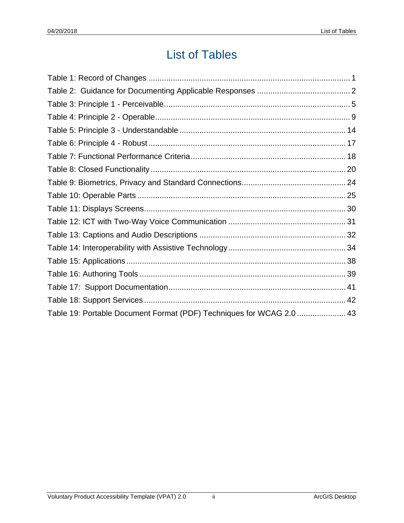# List of Tables

| Table 19: Portable Document Format (PDF) Techniques for WCAG 2.0  43 |  |
|----------------------------------------------------------------------|--|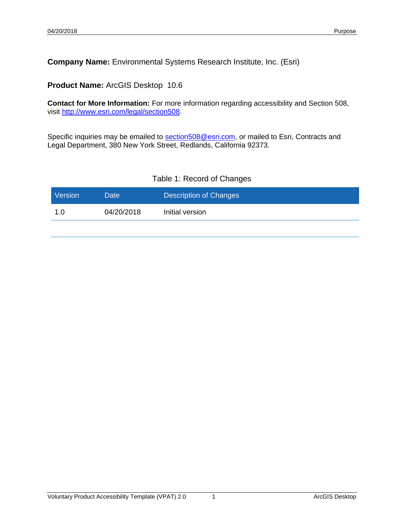**Company Name:** Environmental Systems Research Institute, Inc. (Esri)

**Product Name:** ArcGIS Desktop 10.6

**Contact for More Information:** For more information regarding accessibility and Section 508, visit [http://www.esri.com/legal/section508.](http://www.esri.com/legal/section508)

Specific inquiries may be emailed to [section508@esri.com,](mailto:section508@esri.com) or mailed to Esri, Contracts and Legal Department, 380 New York Street, Redlands, California 92373.

#### Table 1: Record of Changes

<span id="page-3-0"></span>

| <b>Version</b> | Date       | Description of Changes |
|----------------|------------|------------------------|
| 1.0            | 04/20/2018 | Initial version        |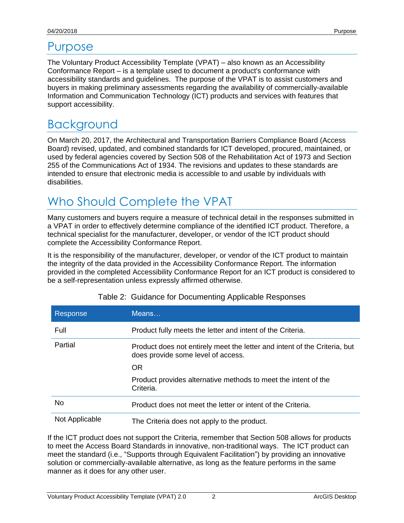## Purpose

The Voluntary Product Accessibility Template (VPAT) – also known as an Accessibility Conformance Report – is a template used to document a product's conformance with accessibility standards and guidelines. The purpose of the VPAT is to assist customers and buyers in making preliminary assessments regarding the availability of commercially-available Information and Communication Technology (ICT) products and services with features that support accessibility.

# <span id="page-4-0"></span>**Background**

On March 20, 2017, the Architectural and Transportation Barriers Compliance Board (Access Board) revised, updated, and combined standards for ICT developed, procured, maintained, or used by federal agencies covered by Section 508 of the Rehabilitation Act of 1973 and Section 255 of the Communications Act of 1934. The revisions and updates to these standards are intended to ensure that electronic media is accessible to and usable by individuals with disabilities.

# <span id="page-4-1"></span>Who Should Complete the VPAT

Many customers and buyers require a measure of technical detail in the responses submitted in a VPAT in order to effectively determine compliance of the identified ICT product. Therefore, a technical specialist for the manufacturer, developer, or vendor of the ICT product should complete the Accessibility Conformance Report.

It is the responsibility of the manufacturer, developer, or vendor of the ICT product to maintain the integrity of the data provided in the Accessibility Conformance Report. The information provided in the completed Accessibility Conformance Report for an ICT product is considered to be a self-representation unless expressly affirmed otherwise.

| Response       | Means                                                                                                           |
|----------------|-----------------------------------------------------------------------------------------------------------------|
| Full           | Product fully meets the letter and intent of the Criteria.                                                      |
| Partial        | Product does not entirely meet the letter and intent of the Criteria, but<br>does provide some level of access. |
|                | <b>OR</b>                                                                                                       |
|                | Product provides alternative methods to meet the intent of the<br>Criteria.                                     |
| No             | Product does not meet the letter or intent of the Criteria.                                                     |
| Not Applicable | The Criteria does not apply to the product.                                                                     |

|  |  | Table 2: Guidance for Documenting Applicable Responses |  |
|--|--|--------------------------------------------------------|--|
|--|--|--------------------------------------------------------|--|

If the ICT product does not support the Criteria, remember that Section 508 allows for products to meet the Access Board Standards in innovative, non-traditional ways. The ICT product can meet the standard (i.e., "Supports through Equivalent Facilitation") by providing an innovative solution or commercially-available alternative, as long as the feature performs in the same manner as it does for any other user.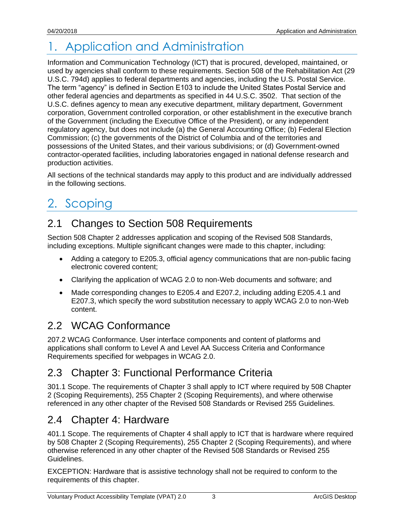# <span id="page-5-0"></span>1. Application and Administration

Information and Communication Technology (ICT) that is procured, developed, maintained, or used by agencies shall conform to these requirements. Section 508 of the Rehabilitation Act (29 U.S.C. 794d) applies to federal departments and agencies, including the U.S. Postal Service. The term "agency" is defined in Section E103 to include the United States Postal Service and other federal agencies and departments as specified in 44 U.S.C. 3502. That section of the U.S.C. defines agency to mean any executive department, military department, Government corporation, Government controlled corporation, or other establishment in the executive branch of the Government (including the Executive Office of the President), or any independent regulatory agency, but does not include (a) the General Accounting Office; (b) Federal Election Commission; (c) the governments of the District of Columbia and of the territories and possessions of the United States, and their various subdivisions; or (d) Government-owned contractor-operated facilities, including laboratories engaged in national defense research and production activities.

All sections of the technical standards may apply to this product and are individually addressed in the following sections.

# <span id="page-5-1"></span>2. Scoping

## <span id="page-5-2"></span>2.1 Changes to Section 508 Requirements

Section 508 Chapter 2 addresses application and scoping of the Revised 508 Standards, including exceptions. Multiple significant changes were made to this chapter, including:

- Adding a category to E205.3, official agency communications that are non-public facing electronic covered content;
- Clarifying the application of WCAG 2.0 to non-Web documents and software; and
- Made corresponding changes to E205.4 and E207.2, including adding E205.4.1 and E207.3, which specify the word substitution necessary to apply WCAG 2.0 to non-Web content.

## <span id="page-5-3"></span>2.2 WCAG Conformance

207.2 WCAG Conformance. User interface components and content of platforms and applications shall conform to Level A and Level AA Success Criteria and Conformance Requirements specified for webpages in WCAG 2.0.

## <span id="page-5-4"></span>2.3 Chapter 3: Functional Performance Criteria

301.1 Scope. The requirements of Chapter 3 shall apply to ICT where required by 508 Chapter 2 (Scoping Requirements), 255 Chapter 2 (Scoping Requirements), and where otherwise referenced in any other chapter of the Revised 508 Standards or Revised 255 Guidelines.

### <span id="page-5-5"></span>2.4 Chapter 4: Hardware

401.1 Scope. The requirements of Chapter 4 shall apply to ICT that is hardware where required by 508 Chapter 2 (Scoping Requirements), 255 Chapter 2 (Scoping Requirements), and where otherwise referenced in any other chapter of the Revised 508 Standards or Revised 255 Guidelines.

EXCEPTION: Hardware that is assistive technology shall not be required to conform to the requirements of this chapter.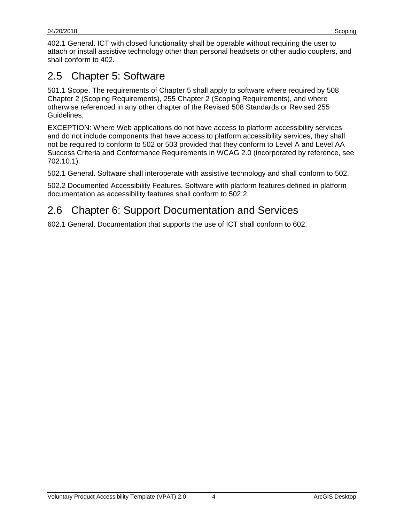402.1 General. ICT with closed functionality shall be operable without requiring the user to attach or install assistive technology other than personal headsets or other audio couplers, and shall conform to 402.

## <span id="page-6-0"></span>2.5 Chapter 5: Software

501.1 Scope. The requirements of Chapter 5 shall apply to software where required by 508 Chapter 2 (Scoping Requirements), 255 Chapter 2 (Scoping Requirements), and where otherwise referenced in any other chapter of the Revised 508 Standards or Revised 255 Guidelines.

EXCEPTION: Where Web applications do not have access to platform accessibility services and do not include components that have access to platform accessibility services, they shall not be required to conform to 502 or 503 provided that they conform to Level A and Level AA Success Criteria and Conformance Requirements in WCAG 2.0 (incorporated by reference, see 702.10.1).

502.1 General. Software shall interoperate with assistive technology and shall conform to 502.

502.2 Documented Accessibility Features. Software with platform features defined in platform documentation as accessibility features shall conform to 502.2.

## <span id="page-6-1"></span>2.6 Chapter 6: Support Documentation and Services

602.1 General. Documentation that supports the use of ICT shall conform to 602.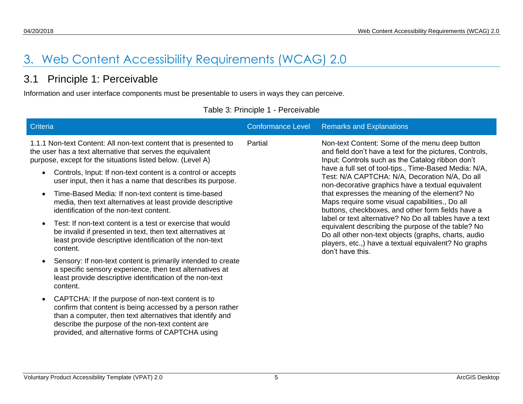# 3. Web Content Accessibility Requirements (WCAG) 2.0

## 3.1 Principle 1: Perceivable

Information and user interface components must be presentable to users in ways they can perceive.

|  |  |  | Table 3: Principle 1 - Perceivable |
|--|--|--|------------------------------------|
|--|--|--|------------------------------------|

<span id="page-7-1"></span><span id="page-7-0"></span>

| <b>Criteria</b>                                                                                                                                                                                                                              | <b>Conformance Level</b>                                                                                                | <b>Remarks and Explanations</b>                                                                                                                                                                                                                                          |
|----------------------------------------------------------------------------------------------------------------------------------------------------------------------------------------------------------------------------------------------|-------------------------------------------------------------------------------------------------------------------------|--------------------------------------------------------------------------------------------------------------------------------------------------------------------------------------------------------------------------------------------------------------------------|
| 1.1.1 Non-text Content: All non-text content that is presented to<br>the user has a text alternative that serves the equivalent<br>purpose, except for the situations listed below. (Level A)                                                | Partial<br>non-decorative graphics have a textual equivalent<br>label or text alternative? No Do all tables have a text | Non-text Content: Some of the menu deep button<br>and field don't have a text for the pictures, Controls,<br>Input: Controls such as the Catalog ribbon don't<br>have a full set of tool-tips., Time-Based Media: N/A,<br>Test: N/A CAPTCHA: N/A, Decoration N/A, Do all |
| Controls, Input: If non-text content is a control or accepts<br>$\bullet$<br>user input, then it has a name that describes its purpose.                                                                                                      |                                                                                                                         |                                                                                                                                                                                                                                                                          |
| Time-Based Media: If non-text content is time-based<br>$\bullet$<br>media, then text alternatives at least provide descriptive<br>identification of the non-text content.                                                                    |                                                                                                                         | that expresses the meaning of the element? No<br>Maps require some visual capabilities., Do all<br>buttons, checkboxes, and other form fields have a                                                                                                                     |
| Test: If non-text content is a test or exercise that would<br>$\bullet$<br>be invalid if presented in text, then text alternatives at<br>least provide descriptive identification of the non-text<br>content.                                |                                                                                                                         | equivalent describing the purpose of the table? No<br>Do all other non-text objects (graphs, charts, audio<br>players, etc.,) have a textual equivalent? No graphs<br>don't have this.                                                                                   |
| Sensory: If non-text content is primarily intended to create<br>$\bullet$<br>a specific sensory experience, then text alternatives at<br>least provide descriptive identification of the non-text<br>content.                                |                                                                                                                         |                                                                                                                                                                                                                                                                          |
| CAPTCHA: If the purpose of non-text content is to<br>$\bullet$<br>confirm that content is being accessed by a person rather<br>than a computer, then text alternatives that identify and<br>describe the purpose of the non-text content are |                                                                                                                         |                                                                                                                                                                                                                                                                          |

provided, and alternative forms of CAPTCHA using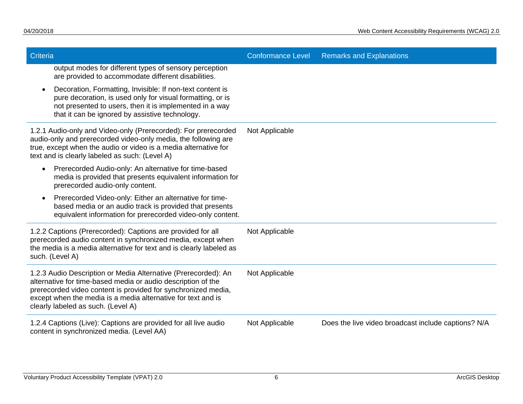| Criteria                                                                                                                                                                                                                                                                                              | <b>Conformance Level</b> | <b>Remarks and Explanations</b>                     |
|-------------------------------------------------------------------------------------------------------------------------------------------------------------------------------------------------------------------------------------------------------------------------------------------------------|--------------------------|-----------------------------------------------------|
| output modes for different types of sensory perception<br>are provided to accommodate different disabilities.                                                                                                                                                                                         |                          |                                                     |
| Decoration, Formatting, Invisible: If non-text content is<br>pure decoration, is used only for visual formatting, or is<br>not presented to users, then it is implemented in a way<br>that it can be ignored by assistive technology.                                                                 |                          |                                                     |
| 1.2.1 Audio-only and Video-only (Prerecorded): For prerecorded<br>audio-only and prerecorded video-only media, the following are<br>true, except when the audio or video is a media alternative for<br>text and is clearly labeled as such: (Level A)                                                 | Not Applicable           |                                                     |
| Prerecorded Audio-only: An alternative for time-based<br>$\bullet$<br>media is provided that presents equivalent information for<br>prerecorded audio-only content.                                                                                                                                   |                          |                                                     |
| Prerecorded Video-only: Either an alternative for time-<br>based media or an audio track is provided that presents<br>equivalent information for prerecorded video-only content.                                                                                                                      |                          |                                                     |
| 1.2.2 Captions (Prerecorded): Captions are provided for all<br>prerecorded audio content in synchronized media, except when<br>the media is a media alternative for text and is clearly labeled as<br>such. (Level A)                                                                                 | Not Applicable           |                                                     |
| 1.2.3 Audio Description or Media Alternative (Prerecorded): An<br>alternative for time-based media or audio description of the<br>prerecorded video content is provided for synchronized media,<br>except when the media is a media alternative for text and is<br>clearly labeled as such. (Level A) | Not Applicable           |                                                     |
| 1.2.4 Captions (Live): Captions are provided for all live audio<br>content in synchronized media. (Level AA)                                                                                                                                                                                          | Not Applicable           | Does the live video broadcast include captions? N/A |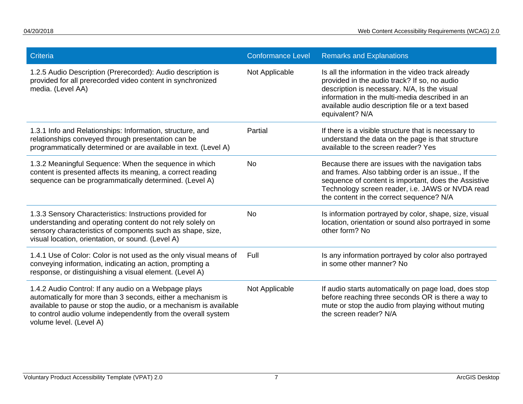| Criteria                                                                                                                                                                                                                                                                              | <b>Conformance Level</b> | <b>Remarks and Explanations</b>                                                                                                                                                                                                                                            |
|---------------------------------------------------------------------------------------------------------------------------------------------------------------------------------------------------------------------------------------------------------------------------------------|--------------------------|----------------------------------------------------------------------------------------------------------------------------------------------------------------------------------------------------------------------------------------------------------------------------|
| 1.2.5 Audio Description (Prerecorded): Audio description is<br>provided for all prerecorded video content in synchronized<br>media. (Level AA)                                                                                                                                        | Not Applicable           | Is all the information in the video track already<br>provided in the audio track? If so, no audio<br>description is necessary. N/A, Is the visual<br>information in the multi-media described in an<br>available audio description file or a text based<br>equivalent? N/A |
| 1.3.1 Info and Relationships: Information, structure, and<br>relationships conveyed through presentation can be<br>programmatically determined or are available in text. (Level A)                                                                                                    | Partial                  | If there is a visible structure that is necessary to<br>understand the data on the page is that structure<br>available to the screen reader? Yes                                                                                                                           |
| 1.3.2 Meaningful Sequence: When the sequence in which<br>content is presented affects its meaning, a correct reading<br>sequence can be programmatically determined. (Level A)                                                                                                        | <b>No</b>                | Because there are issues with the navigation tabs<br>and frames. Also tabbing order is an issue., If the<br>sequence of content is important, does the Assistive<br>Technology screen reader, i.e. JAWS or NVDA read<br>the content in the correct sequence? N/A           |
| 1.3.3 Sensory Characteristics: Instructions provided for<br>understanding and operating content do not rely solely on<br>sensory characteristics of components such as shape, size,<br>visual location, orientation, or sound. (Level A)                                              | <b>No</b>                | Is information portrayed by color, shape, size, visual<br>location, orientation or sound also portrayed in some<br>other form? No                                                                                                                                          |
| 1.4.1 Use of Color: Color is not used as the only visual means of<br>conveying information, indicating an action, prompting a<br>response, or distinguishing a visual element. (Level A)                                                                                              | Full                     | Is any information portrayed by color also portrayed<br>in some other manner? No                                                                                                                                                                                           |
| 1.4.2 Audio Control: If any audio on a Webpage plays<br>automatically for more than 3 seconds, either a mechanism is<br>available to pause or stop the audio, or a mechanism is available<br>to control audio volume independently from the overall system<br>volume level. (Level A) | Not Applicable           | If audio starts automatically on page load, does stop<br>before reaching three seconds OR is there a way to<br>mute or stop the audio from playing without muting<br>the screen reader? N/A                                                                                |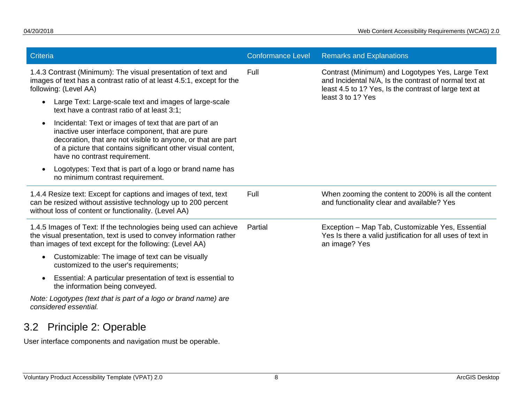| 04/20/2018 |  |
|------------|--|
|            |  |

| Criteria                                                                                                                                                                                                                                                                    | <b>Conformance Level</b> | <b>Remarks and Explanations</b>                                                                                                                                                         |  |
|-----------------------------------------------------------------------------------------------------------------------------------------------------------------------------------------------------------------------------------------------------------------------------|--------------------------|-----------------------------------------------------------------------------------------------------------------------------------------------------------------------------------------|--|
| 1.4.3 Contrast (Minimum): The visual presentation of text and<br>images of text has a contrast ratio of at least 4.5:1, except for the<br>following: (Level AA)                                                                                                             | Full                     | Contrast (Minimum) and Logotypes Yes, Large Text<br>and Incidental N/A, Is the contrast of normal text at<br>least 4.5 to 1? Yes, Is the contrast of large text at<br>least 3 to 1? Yes |  |
| Large Text: Large-scale text and images of large-scale<br>text have a contrast ratio of at least 3:1;                                                                                                                                                                       |                          |                                                                                                                                                                                         |  |
| Incidental: Text or images of text that are part of an<br>inactive user interface component, that are pure<br>decoration, that are not visible to anyone, or that are part<br>of a picture that contains significant other visual content,<br>have no contrast requirement. |                          |                                                                                                                                                                                         |  |
| Logotypes: Text that is part of a logo or brand name has<br>no minimum contrast requirement.                                                                                                                                                                                |                          |                                                                                                                                                                                         |  |
| 1.4.4 Resize text: Except for captions and images of text, text<br>can be resized without assistive technology up to 200 percent<br>without loss of content or functionality. (Level AA)                                                                                    | Full                     | When zooming the content to 200% is all the content<br>and functionality clear and available? Yes                                                                                       |  |
| 1.4.5 Images of Text: If the technologies being used can achieve<br>the visual presentation, text is used to convey information rather<br>than images of text except for the following: (Level AA)                                                                          | Partial                  | Exception - Map Tab, Customizable Yes, Essential<br>Yes Is there a valid justification for all uses of text in<br>an image? Yes                                                         |  |
| Customizable: The image of text can be visually<br>$\bullet$<br>customized to the user's requirements;                                                                                                                                                                      |                          |                                                                                                                                                                                         |  |
| Essential: A particular presentation of text is essential to<br>the information being conveyed.                                                                                                                                                                             |                          |                                                                                                                                                                                         |  |
| Note: Logotypes (text that is part of a logo or brand name) are<br>considered essential.                                                                                                                                                                                    |                          |                                                                                                                                                                                         |  |
| Principle 2: Operable<br>3.2                                                                                                                                                                                                                                                |                          |                                                                                                                                                                                         |  |

<span id="page-10-0"></span>User interface components and navigation must be operable.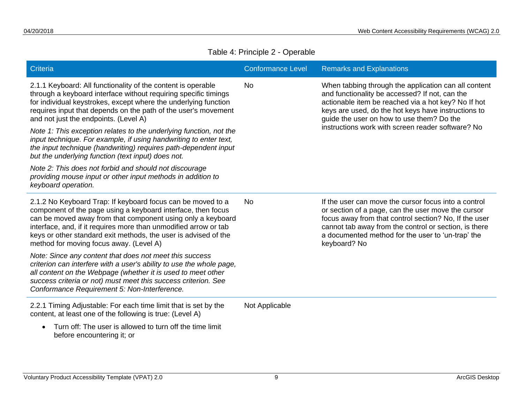|  |  |  | Table 4: Principle 2 - Operable |
|--|--|--|---------------------------------|
|--|--|--|---------------------------------|

| Criteria                                                                                                                                                                                                                                                                                                                                                                     | <b>Conformance Level</b> | <b>Remarks and Explanations</b>                                                                                                                                                                                                                                                                   |
|------------------------------------------------------------------------------------------------------------------------------------------------------------------------------------------------------------------------------------------------------------------------------------------------------------------------------------------------------------------------------|--------------------------|---------------------------------------------------------------------------------------------------------------------------------------------------------------------------------------------------------------------------------------------------------------------------------------------------|
| 2.1.1 Keyboard: All functionality of the content is operable<br>through a keyboard interface without requiring specific timings<br>for individual keystrokes, except where the underlying function<br>requires input that depends on the path of the user's movement<br>and not just the endpoints. (Level A)                                                                | N <sub>0</sub>           | When tabbing through the application can all content<br>and functionality be accessed? If not, can the<br>actionable item be reached via a hot key? No If hot<br>keys are used, do the hot keys have instructions to<br>guide the user on how to use them? Do the                                 |
| Note 1: This exception relates to the underlying function, not the<br>input technique. For example, if using handwriting to enter text,<br>the input technique (handwriting) requires path-dependent input<br>but the underlying function (text input) does not.                                                                                                             |                          | instructions work with screen reader software? No                                                                                                                                                                                                                                                 |
| Note 2: This does not forbid and should not discourage<br>providing mouse input or other input methods in addition to<br>keyboard operation.                                                                                                                                                                                                                                 |                          |                                                                                                                                                                                                                                                                                                   |
| 2.1.2 No Keyboard Trap: If keyboard focus can be moved to a<br>component of the page using a keyboard interface, then focus<br>can be moved away from that component using only a keyboard<br>interface, and, if it requires more than unmodified arrow or tab<br>keys or other standard exit methods, the user is advised of the<br>method for moving focus away. (Level A) | N <sub>o</sub>           | If the user can move the cursor focus into a control<br>or section of a page, can the user move the cursor<br>focus away from that control section? No, If the user<br>cannot tab away from the control or section, is there<br>a documented method for the user to 'un-trap' the<br>keyboard? No |
| Note: Since any content that does not meet this success<br>criterion can interfere with a user's ability to use the whole page,<br>all content on the Webpage (whether it is used to meet other<br>success criteria or not) must meet this success criterion. See<br>Conformance Requirement 5: Non-Interference.                                                            |                          |                                                                                                                                                                                                                                                                                                   |
| 2.2.1 Timing Adjustable: For each time limit that is set by the<br>content, at least one of the following is true: (Level A)                                                                                                                                                                                                                                                 | Not Applicable           |                                                                                                                                                                                                                                                                                                   |
| Turn off: The user is allowed to turn off the time limit<br>before encountering it; or                                                                                                                                                                                                                                                                                       |                          |                                                                                                                                                                                                                                                                                                   |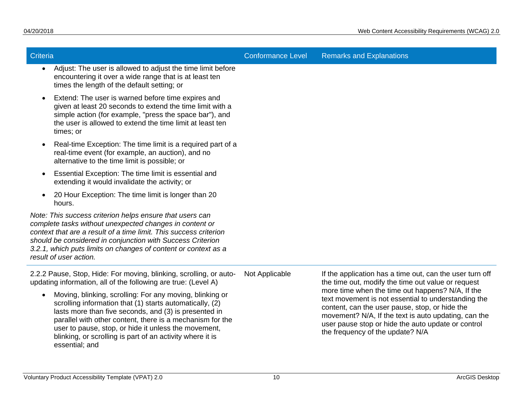| Criteria                                                                                                                                                                                                                                                                                                                                                                                       | <b>Conformance Level</b> | <b>Remarks and Explanations</b>                                                                                                                                                                                                                                                                             |
|------------------------------------------------------------------------------------------------------------------------------------------------------------------------------------------------------------------------------------------------------------------------------------------------------------------------------------------------------------------------------------------------|--------------------------|-------------------------------------------------------------------------------------------------------------------------------------------------------------------------------------------------------------------------------------------------------------------------------------------------------------|
| Adjust: The user is allowed to adjust the time limit before<br>encountering it over a wide range that is at least ten<br>times the length of the default setting; or                                                                                                                                                                                                                           |                          |                                                                                                                                                                                                                                                                                                             |
| Extend: The user is warned before time expires and<br>$\bullet$<br>given at least 20 seconds to extend the time limit with a<br>simple action (for example, "press the space bar"), and<br>the user is allowed to extend the time limit at least ten<br>times; or                                                                                                                              |                          |                                                                                                                                                                                                                                                                                                             |
| Real-time Exception: The time limit is a required part of a<br>real-time event (for example, an auction), and no<br>alternative to the time limit is possible; or                                                                                                                                                                                                                              |                          |                                                                                                                                                                                                                                                                                                             |
| Essential Exception: The time limit is essential and<br>$\bullet$<br>extending it would invalidate the activity; or                                                                                                                                                                                                                                                                            |                          |                                                                                                                                                                                                                                                                                                             |
| 20 Hour Exception: The time limit is longer than 20<br>$\bullet$<br>hours.                                                                                                                                                                                                                                                                                                                     |                          |                                                                                                                                                                                                                                                                                                             |
| Note: This success criterion helps ensure that users can<br>complete tasks without unexpected changes in content or<br>context that are a result of a time limit. This success criterion<br>should be considered in conjunction with Success Criterion<br>3.2.1, which puts limits on changes of content or context as a<br>result of user action.                                             |                          |                                                                                                                                                                                                                                                                                                             |
| 2.2.2 Pause, Stop, Hide: For moving, blinking, scrolling, or auto-<br>updating information, all of the following are true: (Level A)                                                                                                                                                                                                                                                           | Not Applicable           | If the application has a time out, can the user turn off<br>the time out, modify the time out value or request                                                                                                                                                                                              |
| Moving, blinking, scrolling: For any moving, blinking or<br>$\bullet$<br>scrolling information that (1) starts automatically, (2)<br>lasts more than five seconds, and (3) is presented in<br>parallel with other content, there is a mechanism for the<br>user to pause, stop, or hide it unless the movement,<br>blinking, or scrolling is part of an activity where it is<br>essential; and |                          | more time when the time out happens? N/A, If the<br>text movement is not essential to understanding the<br>content, can the user pause, stop, or hide the<br>movement? N/A, If the text is auto updating, can the<br>user pause stop or hide the auto update or control<br>the frequency of the update? N/A |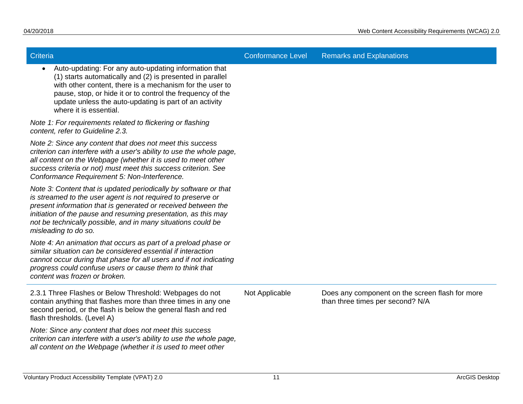| Criteria                                                                                                                                                                                                                                                                                                                                                    | <b>Conformance Level</b> | <b>Remarks and Explanations</b>                                                     |
|-------------------------------------------------------------------------------------------------------------------------------------------------------------------------------------------------------------------------------------------------------------------------------------------------------------------------------------------------------------|--------------------------|-------------------------------------------------------------------------------------|
| Auto-updating: For any auto-updating information that<br>$\bullet$<br>(1) starts automatically and (2) is presented in parallel<br>with other content, there is a mechanism for the user to<br>pause, stop, or hide it or to control the frequency of the<br>update unless the auto-updating is part of an activity<br>where it is essential.               |                          |                                                                                     |
| Note 1: For requirements related to flickering or flashing<br>content, refer to Guideline 2.3.                                                                                                                                                                                                                                                              |                          |                                                                                     |
| Note 2: Since any content that does not meet this success<br>criterion can interfere with a user's ability to use the whole page,<br>all content on the Webpage (whether it is used to meet other<br>success criteria or not) must meet this success criterion. See<br>Conformance Requirement 5: Non-Interference.                                         |                          |                                                                                     |
| Note 3: Content that is updated periodically by software or that<br>is streamed to the user agent is not required to preserve or<br>present information that is generated or received between the<br>initiation of the pause and resuming presentation, as this may<br>not be technically possible, and in many situations could be<br>misleading to do so. |                          |                                                                                     |
| Note 4: An animation that occurs as part of a preload phase or<br>similar situation can be considered essential if interaction<br>cannot occur during that phase for all users and if not indicating<br>progress could confuse users or cause them to think that<br>content was frozen or broken.                                                           |                          |                                                                                     |
| 2.3.1 Three Flashes or Below Threshold: Webpages do not<br>contain anything that flashes more than three times in any one<br>second period, or the flash is below the general flash and red<br>flash thresholds. (Level A)                                                                                                                                  | Not Applicable           | Does any component on the screen flash for more<br>than three times per second? N/A |
| Note: Since any content that does not meet this success<br>criterion can interfere with a user's ability to use the whole page,<br>all content on the Webpage (whether it is used to meet other                                                                                                                                                             |                          |                                                                                     |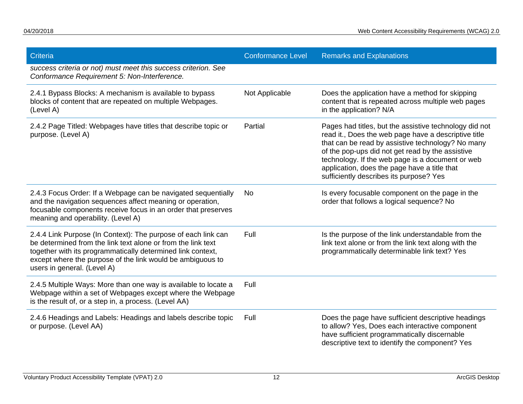| Criteria                                                                                                                                                                                                                                                                                  | <b>Conformance Level</b> | <b>Remarks and Explanations</b>                                                                                                                                                                                                                                                                                                                                        |
|-------------------------------------------------------------------------------------------------------------------------------------------------------------------------------------------------------------------------------------------------------------------------------------------|--------------------------|------------------------------------------------------------------------------------------------------------------------------------------------------------------------------------------------------------------------------------------------------------------------------------------------------------------------------------------------------------------------|
| success criteria or not) must meet this success criterion. See<br>Conformance Requirement 5: Non-Interference.                                                                                                                                                                            |                          |                                                                                                                                                                                                                                                                                                                                                                        |
| 2.4.1 Bypass Blocks: A mechanism is available to bypass<br>blocks of content that are repeated on multiple Webpages.<br>(Level A)                                                                                                                                                         | Not Applicable           | Does the application have a method for skipping<br>content that is repeated across multiple web pages<br>in the application? N/A                                                                                                                                                                                                                                       |
| 2.4.2 Page Titled: Webpages have titles that describe topic or<br>purpose. (Level A)                                                                                                                                                                                                      | Partial                  | Pages had titles, but the assistive technology did not<br>read it., Does the web page have a descriptive title<br>that can be read by assistive technology? No many<br>of the pop-ups did not get read by the assistive<br>technology. If the web page is a document or web<br>application, does the page have a title that<br>sufficiently describes its purpose? Yes |
| 2.4.3 Focus Order: If a Webpage can be navigated sequentially<br>and the navigation sequences affect meaning or operation,<br>focusable components receive focus in an order that preserves<br>meaning and operability. (Level A)                                                         | N <sub>o</sub>           | Is every focusable component on the page in the<br>order that follows a logical sequence? No                                                                                                                                                                                                                                                                           |
| 2.4.4 Link Purpose (In Context): The purpose of each link can<br>be determined from the link text alone or from the link text<br>together with its programmatically determined link context,<br>except where the purpose of the link would be ambiguous to<br>users in general. (Level A) | Full                     | Is the purpose of the link understandable from the<br>link text alone or from the link text along with the<br>programmatically determinable link text? Yes                                                                                                                                                                                                             |
| 2.4.5 Multiple Ways: More than one way is available to locate a<br>Webpage within a set of Webpages except where the Webpage<br>is the result of, or a step in, a process. (Level AA)                                                                                                     | Full                     |                                                                                                                                                                                                                                                                                                                                                                        |
| 2.4.6 Headings and Labels: Headings and labels describe topic<br>or purpose. (Level AA)                                                                                                                                                                                                   | Full                     | Does the page have sufficient descriptive headings<br>to allow? Yes, Does each interactive component<br>have sufficient programmatically discernable<br>descriptive text to identify the component? Yes                                                                                                                                                                |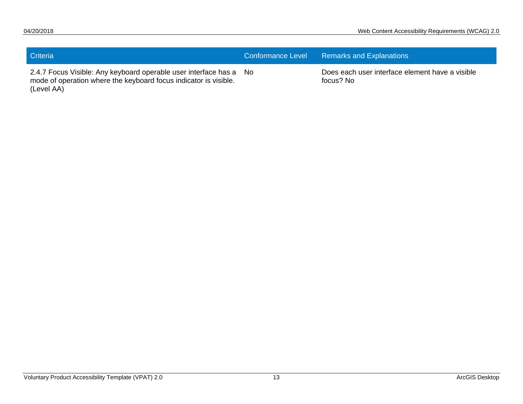| Criteria                                                                                                                                             | Conformance Level Remarks and Explanations                   |
|------------------------------------------------------------------------------------------------------------------------------------------------------|--------------------------------------------------------------|
| 2.4.7 Focus Visible: Any keyboard operable user interface has a No<br>mode of operation where the keyboard focus indicator is visible.<br>(Level AA) | Does each user interface element have a visible<br>focus? No |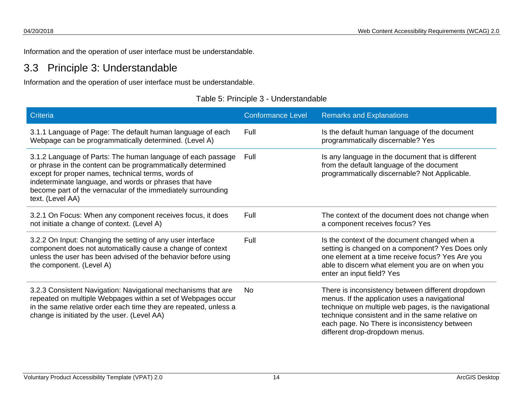Information and the operation of user interface must be understandable.

## 3.3 Principle 3: Understandable

Information and the operation of user interface must be understandable.

#### Table 5: Principle 3 - Understandable

<span id="page-16-0"></span>

| <b>Criteria</b>                                                                                                                                                                                                                                                                                                                | <b>Conformance Level</b> | <b>Remarks and Explanations</b>                                                                                                                                                                                                                                                                  |
|--------------------------------------------------------------------------------------------------------------------------------------------------------------------------------------------------------------------------------------------------------------------------------------------------------------------------------|--------------------------|--------------------------------------------------------------------------------------------------------------------------------------------------------------------------------------------------------------------------------------------------------------------------------------------------|
| 3.1.1 Language of Page: The default human language of each<br>Webpage can be programmatically determined. (Level A)                                                                                                                                                                                                            | Full                     | Is the default human language of the document<br>programmatically discernable? Yes                                                                                                                                                                                                               |
| 3.1.2 Language of Parts: The human language of each passage<br>or phrase in the content can be programmatically determined<br>except for proper names, technical terms, words of<br>indeterminate language, and words or phrases that have<br>become part of the vernacular of the immediately surrounding<br>text. (Level AA) | Full                     | Is any language in the document that is different<br>from the default language of the document<br>programmatically discernable? Not Applicable.                                                                                                                                                  |
| 3.2.1 On Focus: When any component receives focus, it does<br>not initiate a change of context. (Level A)                                                                                                                                                                                                                      | Full                     | The context of the document does not change when<br>a component receives focus? Yes                                                                                                                                                                                                              |
| 3.2.2 On Input: Changing the setting of any user interface<br>component does not automatically cause a change of context<br>unless the user has been advised of the behavior before using<br>the component. (Level A)                                                                                                          | Full                     | Is the context of the document changed when a<br>setting is changed on a component? Yes Does only<br>one element at a time receive focus? Yes Are you<br>able to discern what element you are on when you<br>enter an input field? Yes                                                           |
| 3.2.3 Consistent Navigation: Navigational mechanisms that are<br>repeated on multiple Webpages within a set of Webpages occur<br>in the same relative order each time they are repeated, unless a<br>change is initiated by the user. (Level AA)                                                                               | No.                      | There is inconsistency between different dropdown<br>menus. If the application uses a navigational<br>technique on multiple web pages, is the navigational<br>technique consistent and in the same relative on<br>each page. No There is inconsistency between<br>different drop-dropdown menus. |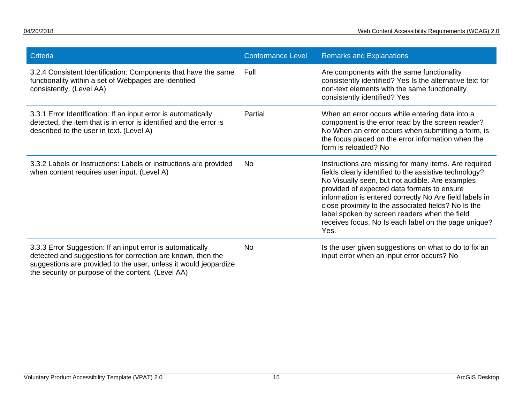| Criteria                                                                                                                                                                                      | <b>Conformance Level</b> | <b>Remarks and Explanations</b>                                                                                                                                                                                                                                                                                                                                                                                                                      |
|-----------------------------------------------------------------------------------------------------------------------------------------------------------------------------------------------|--------------------------|------------------------------------------------------------------------------------------------------------------------------------------------------------------------------------------------------------------------------------------------------------------------------------------------------------------------------------------------------------------------------------------------------------------------------------------------------|
| 3.2.4 Consistent Identification: Components that have the same<br>functionality within a set of Webpages are identified<br>consistently. (Level AA)                                           | Full.                    | Are components with the same functionality<br>consistently identified? Yes Is the alternative text for<br>non-text elements with the same functionality<br>consistently identified? Yes                                                                                                                                                                                                                                                              |
| 3.3.1 Error Identification: If an input error is automatically<br>detected, the item that is in error is identified and the error is<br>described to the user in text. (Level A)              | Partial                  | When an error occurs while entering data into a<br>component is the error read by the screen reader?<br>No When an error occurs when submitting a form, is<br>the focus placed on the error information when the<br>form is reloaded? No                                                                                                                                                                                                             |
| 3.3.2 Labels or Instructions: Labels or instructions are provided<br>when content requires user input. (Level A)                                                                              | No.                      | Instructions are missing for many items. Are required<br>fields clearly identified to the assistive technology?<br>No Visually seen, but not audible. Are examples<br>provided of expected data formats to ensure<br>information is entered correctly No Are field labels in<br>close proximity to the associated fields? No Is the<br>label spoken by screen readers when the field<br>receives focus. No Is each label on the page unique?<br>Yes. |
| 3.3.3 Error Suggestion: If an input error is automatically<br>detected and suggestions for correction are known, then the<br>suggestions are provided to the user, unless it would jeopardize | No.                      | Is the user given suggestions on what to do to fix an<br>input error when an input error occurs? No                                                                                                                                                                                                                                                                                                                                                  |

the security or purpose of the content. (Level AA)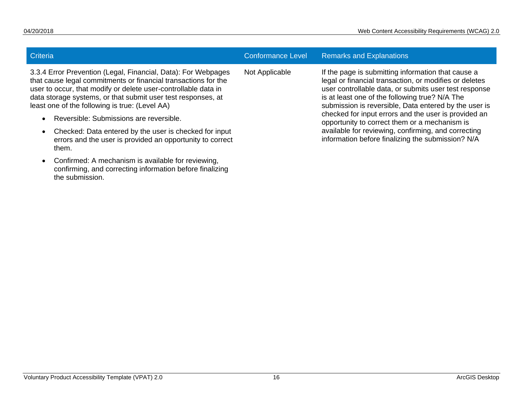| Criteria                                                                                                                                                                                                                                                                                                                                                                                                                                                                                                    | <b>Conformance Level</b> | <b>Remarks and Explanations</b>                                                                                                                                                                                                                                                                                                                                                                                                                                                                       |
|-------------------------------------------------------------------------------------------------------------------------------------------------------------------------------------------------------------------------------------------------------------------------------------------------------------------------------------------------------------------------------------------------------------------------------------------------------------------------------------------------------------|--------------------------|-------------------------------------------------------------------------------------------------------------------------------------------------------------------------------------------------------------------------------------------------------------------------------------------------------------------------------------------------------------------------------------------------------------------------------------------------------------------------------------------------------|
| 3.3.4 Error Prevention (Legal, Financial, Data): For Webpages<br>that cause legal commitments or financial transactions for the<br>user to occur, that modify or delete user-controllable data in<br>data storage systems, or that submit user test responses, at<br>least one of the following is true: (Level AA)<br>Reversible: Submissions are reversible.<br>Checked: Data entered by the user is checked for input<br>$\bullet$<br>errors and the user is provided an opportunity to correct<br>them. | Not Applicable           | If the page is submitting information that cause a<br>legal or financial transaction, or modifies or deletes<br>user controllable data, or submits user test response<br>is at least one of the following true? N/A The<br>submission is reversible, Data entered by the user is<br>checked for input errors and the user is provided an<br>opportunity to correct them or a mechanism is<br>available for reviewing, confirming, and correcting<br>information before finalizing the submission? N/A |
| Confirmed: A mechanism is available for reviewing,                                                                                                                                                                                                                                                                                                                                                                                                                                                          |                          |                                                                                                                                                                                                                                                                                                                                                                                                                                                                                                       |

<span id="page-18-0"></span>the submission.

confirming, and correcting information before finalizing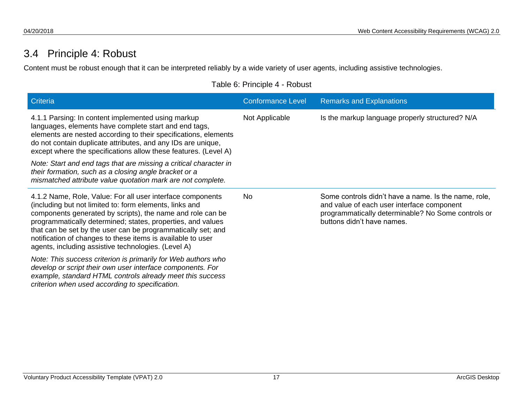## 3.4 Principle 4: Robust

Content must be robust enough that it can be interpreted reliably by a wide variety of user agents, including assistive technologies.

| Table 6: Principle 4 - Robust |
|-------------------------------|
|-------------------------------|

| Criteria                                                                                                                                                                                                                                                                                                                                                                                                                                 | <b>Conformance Level</b> | <b>Remarks and Explanations</b>                                                                                                                                                        |
|------------------------------------------------------------------------------------------------------------------------------------------------------------------------------------------------------------------------------------------------------------------------------------------------------------------------------------------------------------------------------------------------------------------------------------------|--------------------------|----------------------------------------------------------------------------------------------------------------------------------------------------------------------------------------|
| 4.1.1 Parsing: In content implemented using markup<br>languages, elements have complete start and end tags,<br>elements are nested according to their specifications, elements<br>do not contain duplicate attributes, and any IDs are unique,<br>except where the specifications allow these features. (Level A)                                                                                                                        | Not Applicable           | Is the markup language properly structured? N/A                                                                                                                                        |
| Note: Start and end tags that are missing a critical character in<br>their formation, such as a closing angle bracket or a<br>mismatched attribute value quotation mark are not complete.                                                                                                                                                                                                                                                |                          |                                                                                                                                                                                        |
| 4.1.2 Name, Role, Value: For all user interface components<br>(including but not limited to: form elements, links and<br>components generated by scripts), the name and role can be<br>programmatically determined; states, properties, and values<br>that can be set by the user can be programmatically set; and<br>notification of changes to these items is available to user<br>agents, including assistive technologies. (Level A) | <b>No</b>                | Some controls didn't have a name. Is the name, role,<br>and value of each user interface component<br>programmatically determinable? No Some controls or<br>buttons didn't have names. |
| Note: This success criterion is primarily for Web authors who<br>develop or script their own user interface components. For<br>example, standard HTML controls already meet this success<br>criterion when used according to specification.                                                                                                                                                                                              |                          |                                                                                                                                                                                        |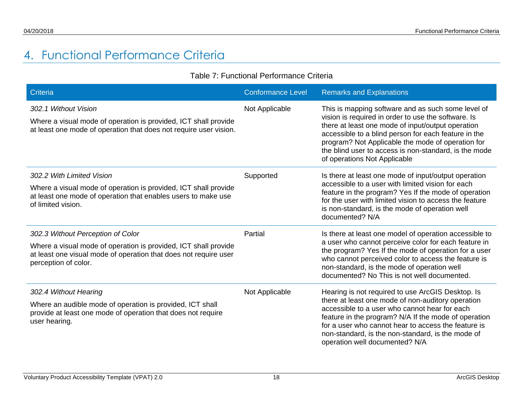# 4. Functional Performance Criteria

#### Table 7: Functional Performance Criteria

<span id="page-20-0"></span>

| <b>Criteria</b>                                                                                                                                              | <b>Conformance Level</b> | <b>Remarks and Explanations</b>                                                                                                                                                                                                                                                                                                                                      |
|--------------------------------------------------------------------------------------------------------------------------------------------------------------|--------------------------|----------------------------------------------------------------------------------------------------------------------------------------------------------------------------------------------------------------------------------------------------------------------------------------------------------------------------------------------------------------------|
| 302.1 Without Vision<br>Where a visual mode of operation is provided, ICT shall provide<br>at least one mode of operation that does not require user vision. | Not Applicable           | This is mapping software and as such some level of<br>vision is required in order to use the software. Is<br>there at least one mode of input/output operation<br>accessible to a blind person for each feature in the<br>program? Not Applicable the mode of operation for<br>the blind user to access is non-standard, is the mode<br>of operations Not Applicable |
| 302.2 With Limited Vision                                                                                                                                    | Supported                | Is there at least one mode of input/output operation                                                                                                                                                                                                                                                                                                                 |
| Where a visual mode of operation is provided, ICT shall provide<br>at least one mode of operation that enables users to make use<br>of limited vision.       |                          | accessible to a user with limited vision for each<br>feature in the program? Yes If the mode of operation<br>for the user with limited vision to access the feature<br>is non-standard, is the mode of operation well<br>documented? N/A                                                                                                                             |
| 302.3 Without Perception of Color                                                                                                                            | Partial                  | Is there at least one model of operation accessible to                                                                                                                                                                                                                                                                                                               |
| Where a visual mode of operation is provided, ICT shall provide<br>at least one visual mode of operation that does not require user<br>perception of color.  |                          | a user who cannot perceive color for each feature in<br>the program? Yes If the mode of operation for a user<br>who cannot perceived color to access the feature is<br>non-standard, is the mode of operation well<br>documented? No This is not well documented.                                                                                                    |
| 302.4 Without Hearing                                                                                                                                        | Not Applicable           | Hearing is not required to use ArcGIS Desktop. Is                                                                                                                                                                                                                                                                                                                    |
| Where an audible mode of operation is provided, ICT shall<br>provide at least one mode of operation that does not require<br>user hearing.                   |                          | there at least one mode of non-auditory operation<br>accessible to a user who cannot hear for each<br>feature in the program? N/A If the mode of operation<br>for a user who cannot hear to access the feature is<br>non-standard, is the non-standard, is the mode of<br>operation well documented? N/A                                                             |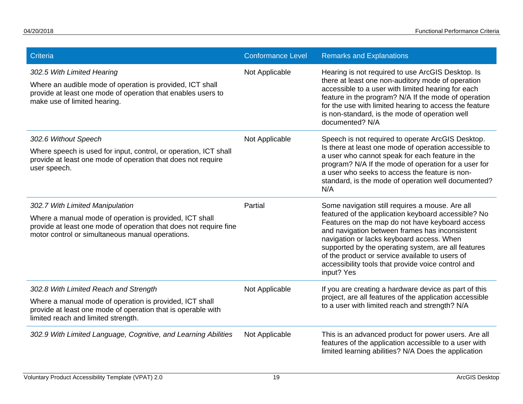| Criteria                                                                                                                                                                                                            | <b>Conformance Level</b> | <b>Remarks and Explanations</b>                                                                                                                                                                                                                                                                                                                                                                                                        |
|---------------------------------------------------------------------------------------------------------------------------------------------------------------------------------------------------------------------|--------------------------|----------------------------------------------------------------------------------------------------------------------------------------------------------------------------------------------------------------------------------------------------------------------------------------------------------------------------------------------------------------------------------------------------------------------------------------|
| 302.5 With Limited Hearing<br>Where an audible mode of operation is provided, ICT shall<br>provide at least one mode of operation that enables users to<br>make use of limited hearing.                             | Not Applicable           | Hearing is not required to use ArcGIS Desktop. Is<br>there at least one non-auditory mode of operation<br>accessible to a user with limited hearing for each<br>feature in the program? N/A If the mode of operation<br>for the use with limited hearing to access the feature<br>is non-standard, is the mode of operation well<br>documented? N/A                                                                                    |
| 302.6 Without Speech<br>Where speech is used for input, control, or operation, ICT shall<br>provide at least one mode of operation that does not require<br>user speech.                                            | Not Applicable           | Speech is not required to operate ArcGIS Desktop.<br>Is there at least one mode of operation accessible to<br>a user who cannot speak for each feature in the<br>program? N/A If the mode of operation for a user for<br>a user who seeks to access the feature is non-<br>standard, is the mode of operation well documented?<br>N/A                                                                                                  |
| 302.7 With Limited Manipulation<br>Where a manual mode of operation is provided, ICT shall<br>provide at least one mode of operation that does not require fine<br>motor control or simultaneous manual operations. | Partial                  | Some navigation still requires a mouse. Are all<br>featured of the application keyboard accessible? No<br>Features on the map do not have keyboard access<br>and navigation between frames has inconsistent<br>navigation or lacks keyboard access. When<br>supported by the operating system, are all features<br>of the product or service available to users of<br>accessibility tools that provide voice control and<br>input? Yes |
| 302.8 With Limited Reach and Strength<br>Where a manual mode of operation is provided, ICT shall<br>provide at least one mode of operation that is operable with<br>limited reach and limited strength.             | Not Applicable           | If you are creating a hardware device as part of this<br>project, are all features of the application accessible<br>to a user with limited reach and strength? N/A                                                                                                                                                                                                                                                                     |
| 302.9 With Limited Language, Cognitive, and Learning Abilities                                                                                                                                                      | Not Applicable           | This is an advanced product for power users. Are all<br>features of the application accessible to a user with<br>limited learning abilities? N/A Does the application                                                                                                                                                                                                                                                                  |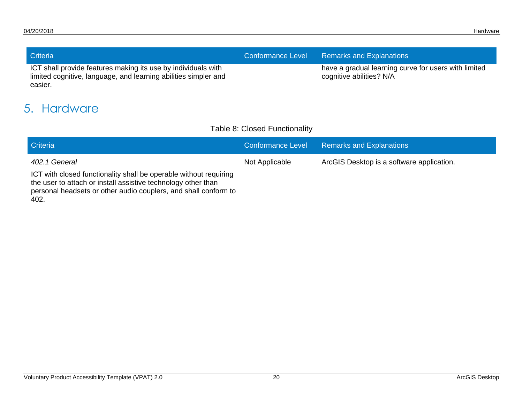| <b>Criteria</b>                                                                                                                             | <b>Conformance Level</b> | <b>Remarks and Explanations</b>                                                  |
|---------------------------------------------------------------------------------------------------------------------------------------------|--------------------------|----------------------------------------------------------------------------------|
| ICT shall provide features making its use by individuals with<br>limited cognitive, language, and learning abilities simpler and<br>easier. |                          | have a gradual learning curve for users with limited<br>cognitive abilities? N/A |

# 5. Hardware

#### Table 8: Closed Functionality

| Criteria                                                                                                                                                                                              | <b>Conformance Level</b> | Remarks and Explanations                  |
|-------------------------------------------------------------------------------------------------------------------------------------------------------------------------------------------------------|--------------------------|-------------------------------------------|
| 402.1 General                                                                                                                                                                                         | Not Applicable           | ArcGIS Desktop is a software application. |
| ICT with closed functionality shall be operable without requiring<br>the user to attach or install assistive technology other than<br>personal headsets or other audio couplers, and shall conform to |                          |                                           |

<span id="page-22-0"></span>402.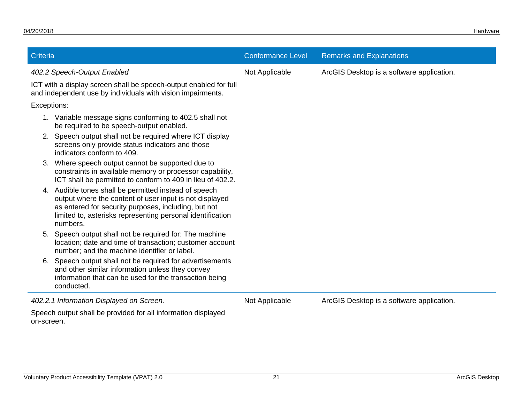| Criteria    |                                                                                                                                                                                                                                                 | <b>Conformance Level</b> | <b>Remarks and Explanations</b>           |
|-------------|-------------------------------------------------------------------------------------------------------------------------------------------------------------------------------------------------------------------------------------------------|--------------------------|-------------------------------------------|
|             | 402.2 Speech-Output Enabled                                                                                                                                                                                                                     | Not Applicable           | ArcGIS Desktop is a software application. |
|             | ICT with a display screen shall be speech-output enabled for full<br>and independent use by individuals with vision impairments.                                                                                                                |                          |                                           |
| Exceptions: |                                                                                                                                                                                                                                                 |                          |                                           |
|             | 1. Variable message signs conforming to 402.5 shall not<br>be required to be speech-output enabled.                                                                                                                                             |                          |                                           |
| 2.          | Speech output shall not be required where ICT display<br>screens only provide status indicators and those<br>indicators conform to 409.                                                                                                         |                          |                                           |
| 3.          | Where speech output cannot be supported due to<br>constraints in available memory or processor capability,<br>ICT shall be permitted to conform to 409 in lieu of 402.2.                                                                        |                          |                                           |
| 4.          | Audible tones shall be permitted instead of speech<br>output where the content of user input is not displayed<br>as entered for security purposes, including, but not<br>limited to, asterisks representing personal identification<br>numbers. |                          |                                           |
| 5.          | Speech output shall not be required for: The machine<br>location; date and time of transaction; customer account<br>number; and the machine identifier or label.                                                                                |                          |                                           |
| 6.          | Speech output shall not be required for advertisements<br>and other similar information unless they convey<br>information that can be used for the transaction being<br>conducted.                                                              |                          |                                           |
|             | 402.2.1 Information Displayed on Screen.                                                                                                                                                                                                        | Not Applicable           | ArcGIS Desktop is a software application. |
| on-screen.  | Speech output shall be provided for all information displayed                                                                                                                                                                                   |                          |                                           |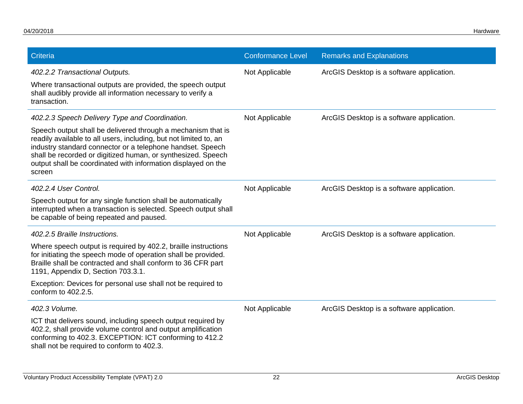| Criteria                                                                                                                                                                                                                                                                                                                                   | <b>Conformance Level</b> | <b>Remarks and Explanations</b>           |
|--------------------------------------------------------------------------------------------------------------------------------------------------------------------------------------------------------------------------------------------------------------------------------------------------------------------------------------------|--------------------------|-------------------------------------------|
| 402.2.2 Transactional Outputs.<br>Where transactional outputs are provided, the speech output<br>shall audibly provide all information necessary to verify a<br>transaction.                                                                                                                                                               | Not Applicable           | ArcGIS Desktop is a software application. |
| 402.2.3 Speech Delivery Type and Coordination.                                                                                                                                                                                                                                                                                             | Not Applicable           | ArcGIS Desktop is a software application. |
| Speech output shall be delivered through a mechanism that is<br>readily available to all users, including, but not limited to, an<br>industry standard connector or a telephone handset. Speech<br>shall be recorded or digitized human, or synthesized. Speech<br>output shall be coordinated with information displayed on the<br>screen |                          |                                           |
| 402.2.4 User Control.                                                                                                                                                                                                                                                                                                                      | Not Applicable           | ArcGIS Desktop is a software application. |
| Speech output for any single function shall be automatically<br>interrupted when a transaction is selected. Speech output shall<br>be capable of being repeated and paused.                                                                                                                                                                |                          |                                           |
| 402.2.5 Braille Instructions.                                                                                                                                                                                                                                                                                                              | Not Applicable           | ArcGIS Desktop is a software application. |
| Where speech output is required by 402.2, braille instructions<br>for initiating the speech mode of operation shall be provided.<br>Braille shall be contracted and shall conform to 36 CFR part<br>1191, Appendix D, Section 703.3.1.                                                                                                     |                          |                                           |
| Exception: Devices for personal use shall not be required to<br>conform to 402.2.5.                                                                                                                                                                                                                                                        |                          |                                           |
| 402.3 Volume.                                                                                                                                                                                                                                                                                                                              | Not Applicable           | ArcGIS Desktop is a software application. |
| ICT that delivers sound, including speech output required by<br>402.2, shall provide volume control and output amplification<br>conforming to 402.3. EXCEPTION: ICT conforming to 412.2<br>shall not be required to conform to 402.3.                                                                                                      |                          |                                           |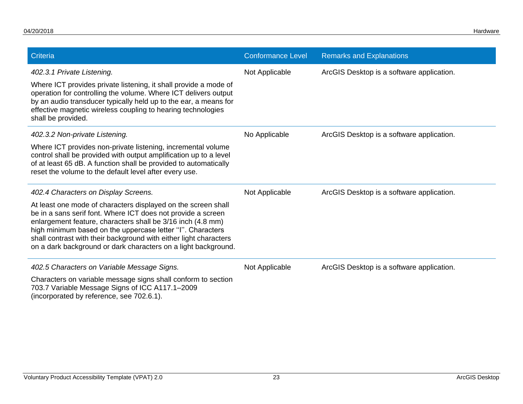| Criteria                                                                                                                                                                                                                                                                                                                                                                                          | <b>Conformance Level</b> | <b>Remarks and Explanations</b>           |
|---------------------------------------------------------------------------------------------------------------------------------------------------------------------------------------------------------------------------------------------------------------------------------------------------------------------------------------------------------------------------------------------------|--------------------------|-------------------------------------------|
| 402.3.1 Private Listening.<br>Where ICT provides private listening, it shall provide a mode of<br>operation for controlling the volume. Where ICT delivers output<br>by an audio transducer typically held up to the ear, a means for<br>effective magnetic wireless coupling to hearing technologies<br>shall be provided.                                                                       | Not Applicable           | ArcGIS Desktop is a software application. |
| 402.3.2 Non-private Listening.                                                                                                                                                                                                                                                                                                                                                                    | No Applicable            | ArcGIS Desktop is a software application. |
| Where ICT provides non-private listening, incremental volume<br>control shall be provided with output amplification up to a level<br>of at least 65 dB. A function shall be provided to automatically<br>reset the volume to the default level after every use.                                                                                                                                   |                          |                                           |
| 402.4 Characters on Display Screens.                                                                                                                                                                                                                                                                                                                                                              | Not Applicable           | ArcGIS Desktop is a software application. |
| At least one mode of characters displayed on the screen shall<br>be in a sans serif font. Where ICT does not provide a screen<br>enlargement feature, characters shall be 3/16 inch (4.8 mm)<br>high minimum based on the uppercase letter "I". Characters<br>shall contrast with their background with either light characters<br>on a dark background or dark characters on a light background. |                          |                                           |
| 402.5 Characters on Variable Message Signs.                                                                                                                                                                                                                                                                                                                                                       | Not Applicable           | ArcGIS Desktop is a software application. |
| Characters on variable message signs shall conform to section<br>703.7 Variable Message Signs of ICC A117.1-2009<br>(incorporated by reference, see 702.6.1).                                                                                                                                                                                                                                     |                          |                                           |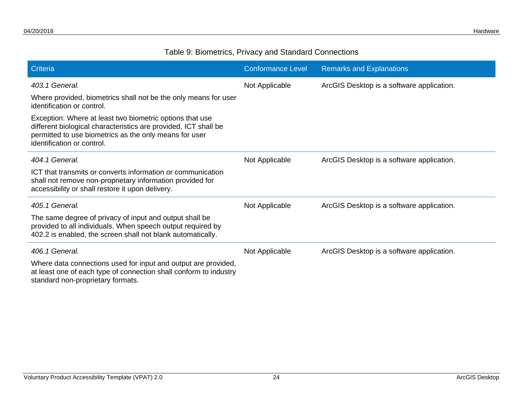#### Table 9: Biometrics, Privacy and Standard Connections

| Criteria                                                                                                                                                                                                            | <b>Conformance Level</b> | <b>Remarks and Explanations</b>           |
|---------------------------------------------------------------------------------------------------------------------------------------------------------------------------------------------------------------------|--------------------------|-------------------------------------------|
| 403.1 General.                                                                                                                                                                                                      | Not Applicable           | ArcGIS Desktop is a software application. |
| Where provided, biometrics shall not be the only means for user<br>identification or control.                                                                                                                       |                          |                                           |
| Exception: Where at least two biometric options that use<br>different biological characteristics are provided, ICT shall be<br>permitted to use biometrics as the only means for user<br>identification or control. |                          |                                           |
| 404.1 General.                                                                                                                                                                                                      | Not Applicable           | ArcGIS Desktop is a software application. |
| ICT that transmits or converts information or communication<br>shall not remove non-proprietary information provided for<br>accessibility or shall restore it upon delivery.                                        |                          |                                           |
| 405.1 General.                                                                                                                                                                                                      | Not Applicable           | ArcGIS Desktop is a software application. |
| The same degree of privacy of input and output shall be<br>provided to all individuals. When speech output required by<br>402.2 is enabled, the screen shall not blank automatically.                               |                          |                                           |
| 406.1 General.                                                                                                                                                                                                      | Not Applicable           | ArcGIS Desktop is a software application. |
| Where data connections used for input and output are provided,<br>at least one of each type of connection shall conform to industry<br>standard non-proprietary formats.                                            |                          |                                           |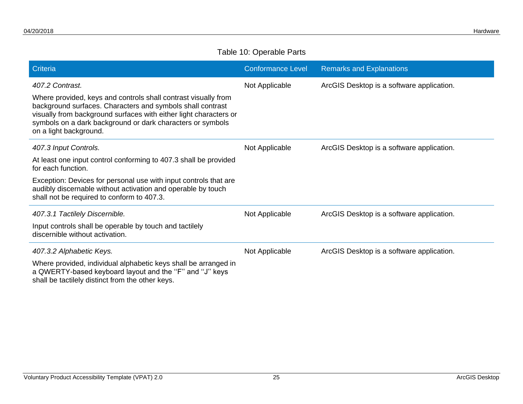#### Table 10: Operable Parts

| <b>Criteria</b>                                                                                                                                                                                                                                                                           | <b>Conformance Level</b> | <b>Remarks and Explanations</b>           |
|-------------------------------------------------------------------------------------------------------------------------------------------------------------------------------------------------------------------------------------------------------------------------------------------|--------------------------|-------------------------------------------|
| 407.2 Contrast.                                                                                                                                                                                                                                                                           | Not Applicable           | ArcGIS Desktop is a software application. |
| Where provided, keys and controls shall contrast visually from<br>background surfaces. Characters and symbols shall contrast<br>visually from background surfaces with either light characters or<br>symbols on a dark background or dark characters or symbols<br>on a light background. |                          |                                           |
| 407.3 Input Controls.                                                                                                                                                                                                                                                                     | Not Applicable           | ArcGIS Desktop is a software application. |
| At least one input control conforming to 407.3 shall be provided<br>for each function.                                                                                                                                                                                                    |                          |                                           |
| Exception: Devices for personal use with input controls that are<br>audibly discernable without activation and operable by touch<br>shall not be required to conform to 407.3.                                                                                                            |                          |                                           |
| 407.3.1 Tactilely Discernible.                                                                                                                                                                                                                                                            | Not Applicable           | ArcGIS Desktop is a software application. |
| Input controls shall be operable by touch and tactilely<br>discernible without activation.                                                                                                                                                                                                |                          |                                           |
| 407.3.2 Alphabetic Keys.                                                                                                                                                                                                                                                                  | Not Applicable           | ArcGIS Desktop is a software application. |
| Where provided, individual alphabetic keys shall be arranged in<br>a QWERTY-based keyboard layout and the "F" and "J" keys<br>shall be tactilely distinct from the other keys.                                                                                                            |                          |                                           |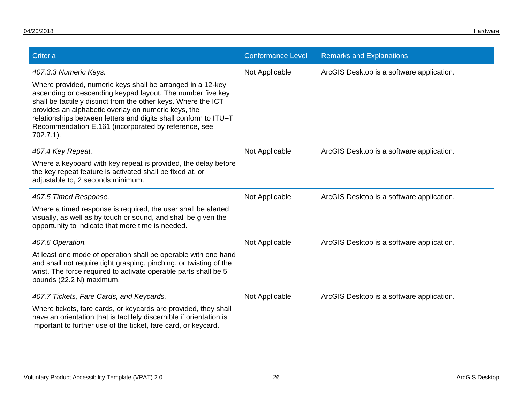| Criteria                                                                                                                                                                                                                                                                                                                                                                                     | <b>Conformance Level</b> | <b>Remarks and Explanations</b>           |
|----------------------------------------------------------------------------------------------------------------------------------------------------------------------------------------------------------------------------------------------------------------------------------------------------------------------------------------------------------------------------------------------|--------------------------|-------------------------------------------|
| 407.3.3 Numeric Keys.                                                                                                                                                                                                                                                                                                                                                                        | Not Applicable           | ArcGIS Desktop is a software application. |
| Where provided, numeric keys shall be arranged in a 12-key<br>ascending or descending keypad layout. The number five key<br>shall be tactilely distinct from the other keys. Where the ICT<br>provides an alphabetic overlay on numeric keys, the<br>relationships between letters and digits shall conform to ITU-T<br>Recommendation E.161 (incorporated by reference, see<br>$702.7.1$ ). |                          |                                           |
| 407.4 Key Repeat.                                                                                                                                                                                                                                                                                                                                                                            | Not Applicable           | ArcGIS Desktop is a software application. |
| Where a keyboard with key repeat is provided, the delay before<br>the key repeat feature is activated shall be fixed at, or<br>adjustable to, 2 seconds minimum.                                                                                                                                                                                                                             |                          |                                           |
| 407.5 Timed Response.                                                                                                                                                                                                                                                                                                                                                                        | Not Applicable           | ArcGIS Desktop is a software application. |
| Where a timed response is required, the user shall be alerted<br>visually, as well as by touch or sound, and shall be given the<br>opportunity to indicate that more time is needed.                                                                                                                                                                                                         |                          |                                           |
| 407.6 Operation.                                                                                                                                                                                                                                                                                                                                                                             | Not Applicable           | ArcGIS Desktop is a software application. |
| At least one mode of operation shall be operable with one hand<br>and shall not require tight grasping, pinching, or twisting of the<br>wrist. The force required to activate operable parts shall be 5<br>pounds (22.2 N) maximum.                                                                                                                                                          |                          |                                           |
| 407.7 Tickets, Fare Cards, and Keycards.                                                                                                                                                                                                                                                                                                                                                     | Not Applicable           | ArcGIS Desktop is a software application. |
| Where tickets, fare cards, or keycards are provided, they shall<br>have an orientation that is tactilely discernible if orientation is<br>important to further use of the ticket, fare card, or keycard.                                                                                                                                                                                     |                          |                                           |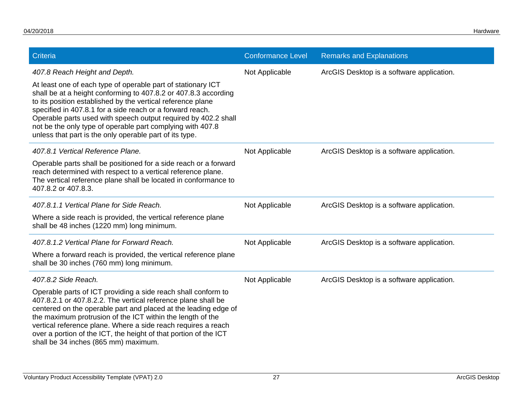| Criteria                                                                                                                                                                                                                                                                                                                                                                                                                                               | <b>Conformance Level</b> | <b>Remarks and Explanations</b>           |
|--------------------------------------------------------------------------------------------------------------------------------------------------------------------------------------------------------------------------------------------------------------------------------------------------------------------------------------------------------------------------------------------------------------------------------------------------------|--------------------------|-------------------------------------------|
| 407.8 Reach Height and Depth.                                                                                                                                                                                                                                                                                                                                                                                                                          | Not Applicable           | ArcGIS Desktop is a software application. |
| At least one of each type of operable part of stationary ICT<br>shall be at a height conforming to 407.8.2 or 407.8.3 according<br>to its position established by the vertical reference plane<br>specified in 407.8.1 for a side reach or a forward reach.<br>Operable parts used with speech output required by 402.2 shall<br>not be the only type of operable part complying with 407.8<br>unless that part is the only operable part of its type. |                          |                                           |
| 407.8.1 Vertical Reference Plane.                                                                                                                                                                                                                                                                                                                                                                                                                      | Not Applicable           | ArcGIS Desktop is a software application. |
| Operable parts shall be positioned for a side reach or a forward<br>reach determined with respect to a vertical reference plane.<br>The vertical reference plane shall be located in conformance to<br>407.8.2 or 407.8.3.                                                                                                                                                                                                                             |                          |                                           |
| 407.8.1.1 Vertical Plane for Side Reach.                                                                                                                                                                                                                                                                                                                                                                                                               | Not Applicable           | ArcGIS Desktop is a software application. |
| Where a side reach is provided, the vertical reference plane<br>shall be 48 inches (1220 mm) long minimum.                                                                                                                                                                                                                                                                                                                                             |                          |                                           |
| 407.8.1.2 Vertical Plane for Forward Reach.                                                                                                                                                                                                                                                                                                                                                                                                            | Not Applicable           | ArcGIS Desktop is a software application. |
| Where a forward reach is provided, the vertical reference plane<br>shall be 30 inches (760 mm) long minimum.                                                                                                                                                                                                                                                                                                                                           |                          |                                           |
| 407.8.2 Side Reach.                                                                                                                                                                                                                                                                                                                                                                                                                                    | Not Applicable           | ArcGIS Desktop is a software application. |
| Operable parts of ICT providing a side reach shall conform to<br>407.8.2.1 or 407.8.2.2. The vertical reference plane shall be<br>centered on the operable part and placed at the leading edge of<br>the maximum protrusion of the ICT within the length of the<br>vertical reference plane. Where a side reach requires a reach<br>over a portion of the ICT, the height of that portion of the ICT<br>shall be 34 inches (865 mm) maximum.           |                          |                                           |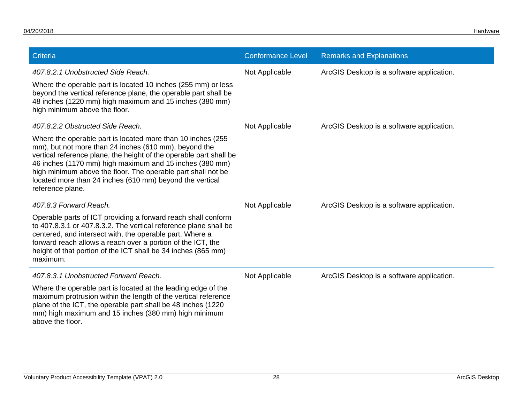| Criteria                                                                                                                                                                                                                                                                                                                                                                                               | <b>Conformance Level</b> | <b>Remarks and Explanations</b>           |
|--------------------------------------------------------------------------------------------------------------------------------------------------------------------------------------------------------------------------------------------------------------------------------------------------------------------------------------------------------------------------------------------------------|--------------------------|-------------------------------------------|
| 407.8.2.1 Unobstructed Side Reach.                                                                                                                                                                                                                                                                                                                                                                     | Not Applicable           | ArcGIS Desktop is a software application. |
| Where the operable part is located 10 inches (255 mm) or less<br>beyond the vertical reference plane, the operable part shall be<br>48 inches (1220 mm) high maximum and 15 inches (380 mm)<br>high minimum above the floor.                                                                                                                                                                           |                          |                                           |
| 407.8.2.2 Obstructed Side Reach.                                                                                                                                                                                                                                                                                                                                                                       | Not Applicable           | ArcGIS Desktop is a software application. |
| Where the operable part is located more than 10 inches (255)<br>mm), but not more than 24 inches (610 mm), beyond the<br>vertical reference plane, the height of the operable part shall be<br>46 inches (1170 mm) high maximum and 15 inches (380 mm)<br>high minimum above the floor. The operable part shall not be<br>located more than 24 inches (610 mm) beyond the vertical<br>reference plane. |                          |                                           |
| 407.8.3 Forward Reach.                                                                                                                                                                                                                                                                                                                                                                                 | Not Applicable           | ArcGIS Desktop is a software application. |
| Operable parts of ICT providing a forward reach shall conform<br>to 407.8.3.1 or 407.8.3.2. The vertical reference plane shall be<br>centered, and intersect with, the operable part. Where a<br>forward reach allows a reach over a portion of the ICT, the<br>height of that portion of the ICT shall be 34 inches (865 mm)<br>maximum.                                                              |                          |                                           |
| 407.8.3.1 Unobstructed Forward Reach.                                                                                                                                                                                                                                                                                                                                                                  | Not Applicable           | ArcGIS Desktop is a software application. |
| Where the operable part is located at the leading edge of the<br>maximum protrusion within the length of the vertical reference<br>plane of the ICT, the operable part shall be 48 inches (1220<br>mm) high maximum and 15 inches (380 mm) high minimum<br>above the floor.                                                                                                                            |                          |                                           |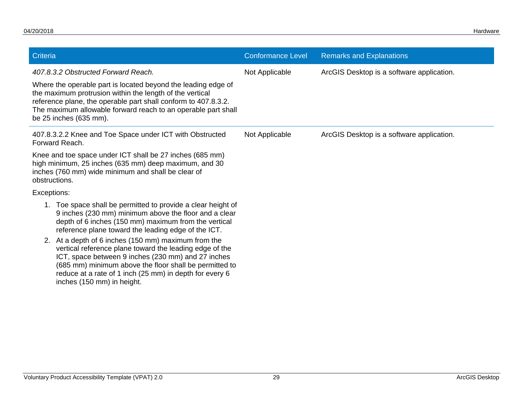| Criteria                                                                                                                                                                                                                                                                                                                                                                                                                                                                                                                                                        | <b>Conformance Level</b> | <b>Remarks and Explanations</b>           |
|-----------------------------------------------------------------------------------------------------------------------------------------------------------------------------------------------------------------------------------------------------------------------------------------------------------------------------------------------------------------------------------------------------------------------------------------------------------------------------------------------------------------------------------------------------------------|--------------------------|-------------------------------------------|
| 407.8.3.2 Obstructed Forward Reach.<br>Where the operable part is located beyond the leading edge of<br>the maximum protrusion within the length of the vertical<br>reference plane, the operable part shall conform to 407.8.3.2.<br>The maximum allowable forward reach to an operable part shall<br>be 25 inches (635 mm).                                                                                                                                                                                                                                   | Not Applicable           | ArcGIS Desktop is a software application. |
| 407.8.3.2.2 Knee and Toe Space under ICT with Obstructed<br>Forward Reach.                                                                                                                                                                                                                                                                                                                                                                                                                                                                                      | Not Applicable           | ArcGIS Desktop is a software application. |
| Knee and toe space under ICT shall be 27 inches (685 mm)<br>high minimum, 25 inches (635 mm) deep maximum, and 30<br>inches (760 mm) wide minimum and shall be clear of<br>obstructions.                                                                                                                                                                                                                                                                                                                                                                        |                          |                                           |
| Exceptions:                                                                                                                                                                                                                                                                                                                                                                                                                                                                                                                                                     |                          |                                           |
| 1. Toe space shall be permitted to provide a clear height of<br>9 inches (230 mm) minimum above the floor and a clear<br>depth of 6 inches (150 mm) maximum from the vertical<br>reference plane toward the leading edge of the ICT.<br>2. At a depth of 6 inches (150 mm) maximum from the<br>vertical reference plane toward the leading edge of the<br>ICT, space between 9 inches (230 mm) and 27 inches<br>(685 mm) minimum above the floor shall be permitted to<br>reduce at a rate of 1 inch (25 mm) in depth for every 6<br>inches (150 mm) in height. |                          |                                           |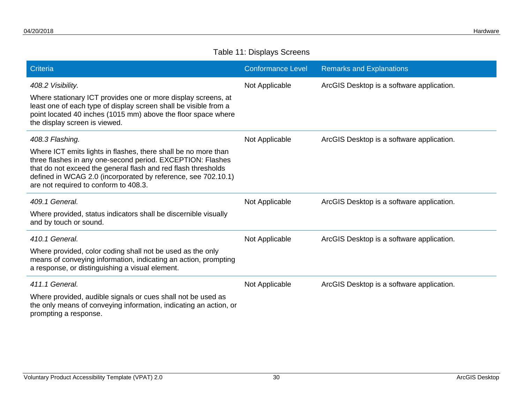#### Table 11: Displays Screens

| Criteria                                                                                                                                                                                                                                                                                                                   | <b>Conformance Level</b> | <b>Remarks and Explanations</b>           |
|----------------------------------------------------------------------------------------------------------------------------------------------------------------------------------------------------------------------------------------------------------------------------------------------------------------------------|--------------------------|-------------------------------------------|
| 408.2 Visibility.<br>Where stationary ICT provides one or more display screens, at<br>least one of each type of display screen shall be visible from a<br>point located 40 inches (1015 mm) above the floor space where<br>the display screen is viewed.                                                                   | Not Applicable           | ArcGIS Desktop is a software application. |
| 408.3 Flashing.<br>Where ICT emits lights in flashes, there shall be no more than<br>three flashes in any one-second period. EXCEPTION: Flashes<br>that do not exceed the general flash and red flash thresholds<br>defined in WCAG 2.0 (incorporated by reference, see 702.10.1)<br>are not required to conform to 408.3. | Not Applicable           | ArcGIS Desktop is a software application. |
| 409.1 General.<br>Where provided, status indicators shall be discernible visually<br>and by touch or sound.                                                                                                                                                                                                                | Not Applicable           | ArcGIS Desktop is a software application. |
| 410.1 General.<br>Where provided, color coding shall not be used as the only<br>means of conveying information, indicating an action, prompting<br>a response, or distinguishing a visual element.                                                                                                                         | Not Applicable           | ArcGIS Desktop is a software application. |
| 411.1 General.<br>Where provided, audible signals or cues shall not be used as<br>the only means of conveying information, indicating an action, or<br>prompting a response.                                                                                                                                               | Not Applicable           | ArcGIS Desktop is a software application. |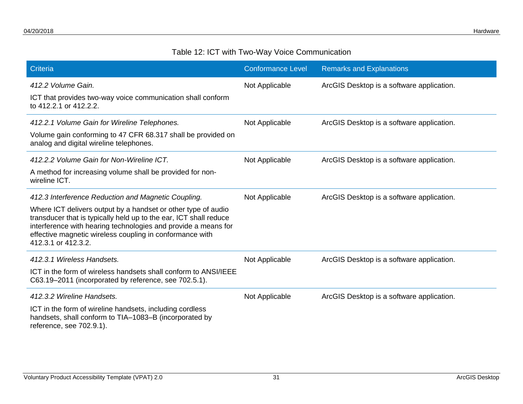#### Table 12: ICT with Two-Way Voice Communication

| Criteria                                                                                                                                                                                                                                                                                | <b>Conformance Level</b> | <b>Remarks and Explanations</b>           |
|-----------------------------------------------------------------------------------------------------------------------------------------------------------------------------------------------------------------------------------------------------------------------------------------|--------------------------|-------------------------------------------|
| 412.2 Volume Gain.                                                                                                                                                                                                                                                                      | Not Applicable           | ArcGIS Desktop is a software application. |
| ICT that provides two-way voice communication shall conform<br>to 412.2.1 or 412.2.2.                                                                                                                                                                                                   |                          |                                           |
| 412.2.1 Volume Gain for Wireline Telephones.                                                                                                                                                                                                                                            | Not Applicable           | ArcGIS Desktop is a software application. |
| Volume gain conforming to 47 CFR 68.317 shall be provided on<br>analog and digital wireline telephones.                                                                                                                                                                                 |                          |                                           |
| 412.2.2 Volume Gain for Non-Wireline ICT.                                                                                                                                                                                                                                               | Not Applicable           | ArcGIS Desktop is a software application. |
| A method for increasing volume shall be provided for non-<br>wireline ICT.                                                                                                                                                                                                              |                          |                                           |
| 412.3 Interference Reduction and Magnetic Coupling.                                                                                                                                                                                                                                     | Not Applicable           | ArcGIS Desktop is a software application. |
| Where ICT delivers output by a handset or other type of audio<br>transducer that is typically held up to the ear, ICT shall reduce<br>interference with hearing technologies and provide a means for<br>effective magnetic wireless coupling in conformance with<br>412.3.1 or 412.3.2. |                          |                                           |
| 412.3.1 Wireless Handsets.                                                                                                                                                                                                                                                              | Not Applicable           | ArcGIS Desktop is a software application. |
| ICT in the form of wireless handsets shall conform to ANSI/IEEE<br>C63.19–2011 (incorporated by reference, see 702.5.1).                                                                                                                                                                |                          |                                           |
| 412.3.2 Wireline Handsets.                                                                                                                                                                                                                                                              | Not Applicable           | ArcGIS Desktop is a software application. |
| ICT in the form of wireline handsets, including cordless<br>handsets, shall conform to TIA-1083-B (incorporated by<br>reference, see 702.9.1).                                                                                                                                          |                          |                                           |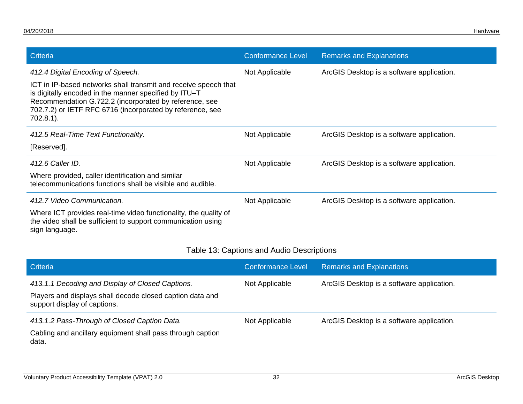| Criteria                                                                                                                                                                                                                                                        | <b>Conformance Level</b> | <b>Remarks and Explanations</b>           |
|-----------------------------------------------------------------------------------------------------------------------------------------------------------------------------------------------------------------------------------------------------------------|--------------------------|-------------------------------------------|
| 412.4 Digital Encoding of Speech.                                                                                                                                                                                                                               | Not Applicable           | ArcGIS Desktop is a software application. |
| ICT in IP-based networks shall transmit and receive speech that<br>is digitally encoded in the manner specified by ITU-T<br>Recommendation G.722.2 (incorporated by reference, see<br>702.7.2) or IETF RFC 6716 (incorporated by reference, see<br>$702.8.1$ ). |                          |                                           |
| 412.5 Real-Time Text Functionality.                                                                                                                                                                                                                             | Not Applicable           | ArcGIS Desktop is a software application. |
| [Reserved].                                                                                                                                                                                                                                                     |                          |                                           |
| 412.6 Caller ID.                                                                                                                                                                                                                                                | Not Applicable           | ArcGIS Desktop is a software application. |
| Where provided, caller identification and similar<br>telecommunications functions shall be visible and audible.                                                                                                                                                 |                          |                                           |
| 412.7 Video Communication.                                                                                                                                                                                                                                      | Not Applicable           | ArcGIS Desktop is a software application. |
| Where ICT provides real-time video functionality, the quality of<br>the video shall be sufficient to support communication using<br>sign language.                                                                                                              |                          |                                           |

#### Table 13: Captions and Audio Descriptions

| Criteria                                                                                                                                      | <b>Conformance Level</b> | <b>Remarks and Explanations</b>           |
|-----------------------------------------------------------------------------------------------------------------------------------------------|--------------------------|-------------------------------------------|
| 413.1.1 Decoding and Display of Closed Captions.<br>Players and displays shall decode closed caption data and<br>support display of captions. | Not Applicable           | ArcGIS Desktop is a software application. |
| 413.1.2 Pass-Through of Closed Caption Data.<br>Cabling and ancillary equipment shall pass through caption<br>data.                           | Not Applicable           | ArcGIS Desktop is a software application. |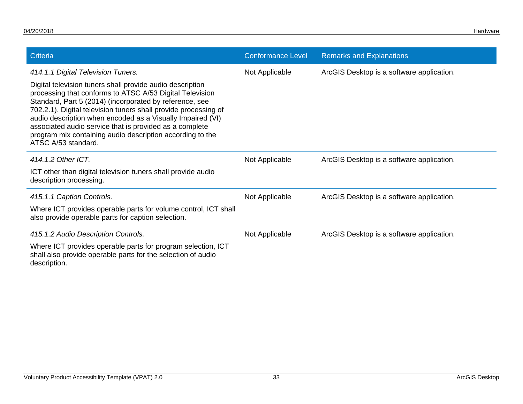| Criteria                                                                                                                                                                                                                                                                                                                                                                                                                                                         | <b>Conformance Level</b> | <b>Remarks and Explanations</b>           |
|------------------------------------------------------------------------------------------------------------------------------------------------------------------------------------------------------------------------------------------------------------------------------------------------------------------------------------------------------------------------------------------------------------------------------------------------------------------|--------------------------|-------------------------------------------|
| 414.1.1 Digital Television Tuners.                                                                                                                                                                                                                                                                                                                                                                                                                               | Not Applicable           | ArcGIS Desktop is a software application. |
| Digital television tuners shall provide audio description<br>processing that conforms to ATSC A/53 Digital Television<br>Standard, Part 5 (2014) (incorporated by reference, see<br>702.2.1). Digital television tuners shall provide processing of<br>audio description when encoded as a Visually Impaired (VI)<br>associated audio service that is provided as a complete<br>program mix containing audio description according to the<br>ATSC A/53 standard. |                          |                                           |
| 414.1.2 Other ICT.                                                                                                                                                                                                                                                                                                                                                                                                                                               | Not Applicable           | ArcGIS Desktop is a software application. |
| ICT other than digital television tuners shall provide audio<br>description processing.                                                                                                                                                                                                                                                                                                                                                                          |                          |                                           |
| 415.1.1 Caption Controls.                                                                                                                                                                                                                                                                                                                                                                                                                                        | Not Applicable           | ArcGIS Desktop is a software application. |
| Where ICT provides operable parts for volume control, ICT shall<br>also provide operable parts for caption selection.                                                                                                                                                                                                                                                                                                                                            |                          |                                           |
| 415.1.2 Audio Description Controls.                                                                                                                                                                                                                                                                                                                                                                                                                              | Not Applicable           | ArcGIS Desktop is a software application. |
| Where ICT provides operable parts for program selection, ICT<br>shall also provide operable parts for the selection of audio<br>description.                                                                                                                                                                                                                                                                                                                     |                          |                                           |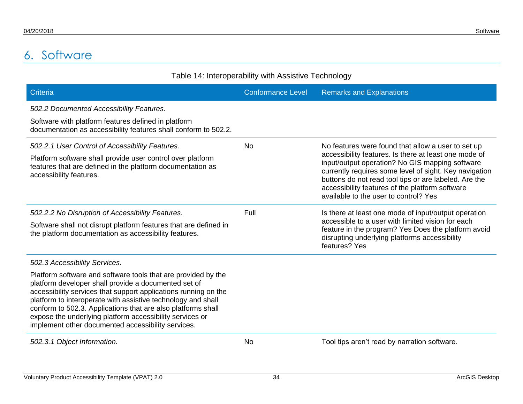# 6. Software

<span id="page-36-0"></span>

| Table 14: Interoperability with Assistive Technology                                                                                                                                                                                                                                                                                                                                                                                       |                          |                                                                                                                                                                                                                                                                                                                         |
|--------------------------------------------------------------------------------------------------------------------------------------------------------------------------------------------------------------------------------------------------------------------------------------------------------------------------------------------------------------------------------------------------------------------------------------------|--------------------------|-------------------------------------------------------------------------------------------------------------------------------------------------------------------------------------------------------------------------------------------------------------------------------------------------------------------------|
| Criteria                                                                                                                                                                                                                                                                                                                                                                                                                                   | <b>Conformance Level</b> | <b>Remarks and Explanations</b>                                                                                                                                                                                                                                                                                         |
| 502.2 Documented Accessibility Features.                                                                                                                                                                                                                                                                                                                                                                                                   |                          |                                                                                                                                                                                                                                                                                                                         |
| Software with platform features defined in platform<br>documentation as accessibility features shall conform to 502.2.                                                                                                                                                                                                                                                                                                                     |                          |                                                                                                                                                                                                                                                                                                                         |
| 502.2.1 User Control of Accessibility Features.                                                                                                                                                                                                                                                                                                                                                                                            | <b>No</b>                | No features were found that allow a user to set up                                                                                                                                                                                                                                                                      |
| Platform software shall provide user control over platform<br>features that are defined in the platform documentation as<br>accessibility features.                                                                                                                                                                                                                                                                                        |                          | accessibility features. Is there at least one mode of<br>input/output operation? No GIS mapping software<br>currently requires some level of sight. Key navigation<br>buttons do not read tool tips or are labeled. Are the<br>accessibility features of the platform software<br>available to the user to control? Yes |
| 502.2.2 No Disruption of Accessibility Features.                                                                                                                                                                                                                                                                                                                                                                                           | Full                     | Is there at least one mode of input/output operation                                                                                                                                                                                                                                                                    |
| Software shall not disrupt platform features that are defined in<br>the platform documentation as accessibility features.                                                                                                                                                                                                                                                                                                                  |                          | accessible to a user with limited vision for each<br>feature in the program? Yes Does the platform avoid<br>disrupting underlying platforms accessibility<br>features? Yes                                                                                                                                              |
| 502.3 Accessibility Services.                                                                                                                                                                                                                                                                                                                                                                                                              |                          |                                                                                                                                                                                                                                                                                                                         |
| Platform software and software tools that are provided by the<br>platform developer shall provide a documented set of<br>accessibility services that support applications running on the<br>platform to interoperate with assistive technology and shall<br>conform to 502.3. Applications that are also platforms shall<br>expose the underlying platform accessibility services or<br>implement other documented accessibility services. |                          |                                                                                                                                                                                                                                                                                                                         |
| 502.3.1 Object Information.                                                                                                                                                                                                                                                                                                                                                                                                                | <b>No</b>                | Tool tips aren't read by narration software.                                                                                                                                                                                                                                                                            |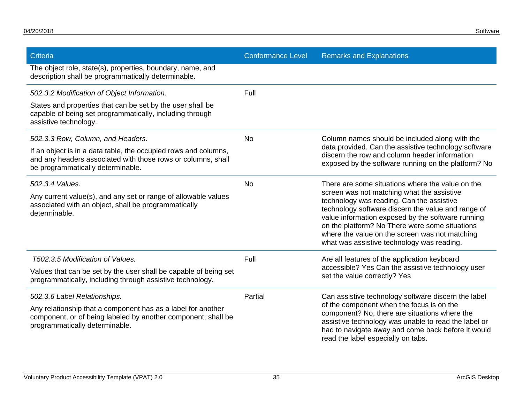| Criteria                                                                                                                                                             | <b>Conformance Level</b> | <b>Remarks and Explanations</b>                                                                                                                                                                                                                                                                                                                      |
|----------------------------------------------------------------------------------------------------------------------------------------------------------------------|--------------------------|------------------------------------------------------------------------------------------------------------------------------------------------------------------------------------------------------------------------------------------------------------------------------------------------------------------------------------------------------|
| The object role, state(s), properties, boundary, name, and<br>description shall be programmatically determinable.                                                    |                          |                                                                                                                                                                                                                                                                                                                                                      |
| 502.3.2 Modification of Object Information.                                                                                                                          | Full                     |                                                                                                                                                                                                                                                                                                                                                      |
| States and properties that can be set by the user shall be<br>capable of being set programmatically, including through<br>assistive technology.                      |                          |                                                                                                                                                                                                                                                                                                                                                      |
| 502.3.3 Row, Column, and Headers.                                                                                                                                    | <b>No</b>                | Column names should be included along with the                                                                                                                                                                                                                                                                                                       |
| If an object is in a data table, the occupied rows and columns,<br>and any headers associated with those rows or columns, shall<br>be programmatically determinable. |                          | data provided. Can the assistive technology software<br>discern the row and column header information<br>exposed by the software running on the platform? No                                                                                                                                                                                         |
| 502.3.4 Values.                                                                                                                                                      | <b>No</b>                | There are some situations where the value on the                                                                                                                                                                                                                                                                                                     |
| Any current value(s), and any set or range of allowable values<br>associated with an object, shall be programmatically<br>determinable.                              |                          | screen was not matching what the assistive<br>technology was reading. Can the assistive<br>technology software discern the value and range of<br>value information exposed by the software running<br>on the platform? No There were some situations<br>where the value on the screen was not matching<br>what was assistive technology was reading. |
| T502.3.5 Modification of Values.                                                                                                                                     | Full                     | Are all features of the application keyboard                                                                                                                                                                                                                                                                                                         |
| Values that can be set by the user shall be capable of being set<br>programmatically, including through assistive technology.                                        |                          | accessible? Yes Can the assistive technology user<br>set the value correctly? Yes                                                                                                                                                                                                                                                                    |
| 502.3.6 Label Relationships.                                                                                                                                         | Partial                  | Can assistive technology software discern the label                                                                                                                                                                                                                                                                                                  |
| Any relationship that a component has as a label for another<br>component, or of being labeled by another component, shall be<br>programmatically determinable.      |                          | of the component when the focus is on the<br>component? No, there are situations where the<br>assistive technology was unable to read the label or<br>had to navigate away and come back before it would<br>read the label especially on tabs.                                                                                                       |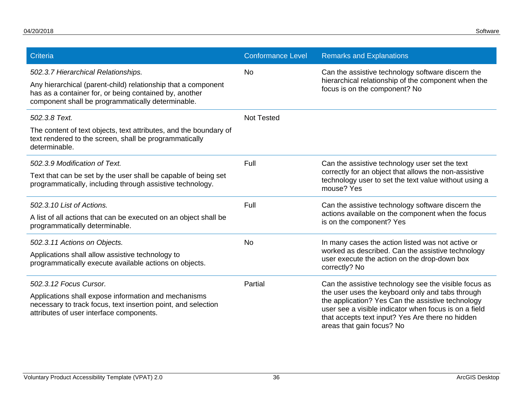| Criteria                                                                                                                                                                     | <b>Conformance Level</b> | <b>Remarks and Explanations</b>                                                                                                                                                                                                                 |
|------------------------------------------------------------------------------------------------------------------------------------------------------------------------------|--------------------------|-------------------------------------------------------------------------------------------------------------------------------------------------------------------------------------------------------------------------------------------------|
| 502.3.7 Hierarchical Relationships.                                                                                                                                          | <b>No</b>                | Can the assistive technology software discern the                                                                                                                                                                                               |
| Any hierarchical (parent-child) relationship that a component<br>has as a container for, or being contained by, another<br>component shall be programmatically determinable. |                          | hierarchical relationship of the component when the<br>focus is on the component? No                                                                                                                                                            |
| 502.3.8 Text.                                                                                                                                                                | <b>Not Tested</b>        |                                                                                                                                                                                                                                                 |
| The content of text objects, text attributes, and the boundary of<br>text rendered to the screen, shall be programmatically<br>determinable.                                 |                          |                                                                                                                                                                                                                                                 |
| 502.3.9 Modification of Text.                                                                                                                                                | Full                     | Can the assistive technology user set the text                                                                                                                                                                                                  |
| Text that can be set by the user shall be capable of being set<br>programmatically, including through assistive technology.                                                  |                          | correctly for an object that allows the non-assistive<br>technology user to set the text value without using a<br>mouse? Yes                                                                                                                    |
| 502.3.10 List of Actions.                                                                                                                                                    | Full                     | Can the assistive technology software discern the                                                                                                                                                                                               |
| A list of all actions that can be executed on an object shall be<br>programmatically determinable.                                                                           |                          | actions available on the component when the focus<br>is on the component? Yes                                                                                                                                                                   |
| 502.3.11 Actions on Objects.                                                                                                                                                 | <b>No</b>                | In many cases the action listed was not active or                                                                                                                                                                                               |
| Applications shall allow assistive technology to<br>programmatically execute available actions on objects.                                                                   |                          | worked as described. Can the assistive technology<br>user execute the action on the drop-down box<br>correctly? No                                                                                                                              |
| 502.3.12 Focus Cursor.                                                                                                                                                       | Partial                  | Can the assistive technology see the visible focus as                                                                                                                                                                                           |
| Applications shall expose information and mechanisms<br>necessary to track focus, text insertion point, and selection<br>attributes of user interface components.            |                          | the user uses the keyboard only and tabs through<br>the application? Yes Can the assistive technology<br>user see a visible indicator when focus is on a field<br>that accepts text input? Yes Are there no hidden<br>areas that gain focus? No |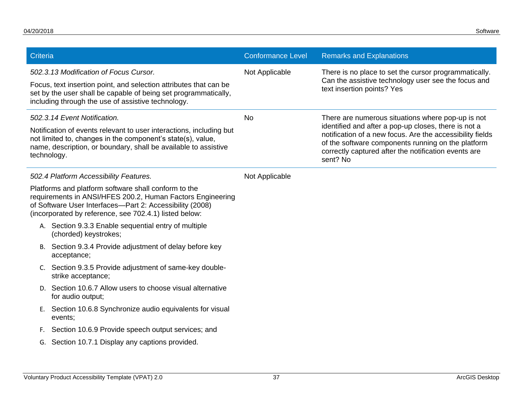| Criteria    |                                                                                                                                                                                                                                          | <b>Conformance Level</b> | <b>Remarks and Explanations</b>                                                                                                                                                                                                                                                                  |
|-------------|------------------------------------------------------------------------------------------------------------------------------------------------------------------------------------------------------------------------------------------|--------------------------|--------------------------------------------------------------------------------------------------------------------------------------------------------------------------------------------------------------------------------------------------------------------------------------------------|
|             | 502.3.13 Modification of Focus Cursor.                                                                                                                                                                                                   | Not Applicable           | There is no place to set the cursor programmatically.                                                                                                                                                                                                                                            |
|             | Focus, text insertion point, and selection attributes that can be<br>set by the user shall be capable of being set programmatically,<br>including through the use of assistive technology.                                               |                          | Can the assistive technology user see the focus and<br>text insertion points? Yes                                                                                                                                                                                                                |
| technology. | 502.3.14 Event Notification.<br>Notification of events relevant to user interactions, including but<br>not limited to, changes in the component's state(s), value,<br>name, description, or boundary, shall be available to assistive    | <b>No</b>                | There are numerous situations where pop-up is not<br>identified and after a pop-up closes, there is not a<br>notification of a new focus. Are the accessibility fields<br>of the software components running on the platform<br>correctly captured after the notification events are<br>sent? No |
|             | 502.4 Platform Accessibility Features.                                                                                                                                                                                                   | Not Applicable           |                                                                                                                                                                                                                                                                                                  |
|             | Platforms and platform software shall conform to the<br>requirements in ANSI/HFES 200.2, Human Factors Engineering<br>of Software User Interfaces-Part 2: Accessibility (2008)<br>(incorporated by reference, see 702.4.1) listed below: |                          |                                                                                                                                                                                                                                                                                                  |
|             | A. Section 9.3.3 Enable sequential entry of multiple<br>(chorded) keystrokes;                                                                                                                                                            |                          |                                                                                                                                                                                                                                                                                                  |
| В.          | Section 9.3.4 Provide adjustment of delay before key<br>acceptance;                                                                                                                                                                      |                          |                                                                                                                                                                                                                                                                                                  |
|             | C. Section 9.3.5 Provide adjustment of same-key double-<br>strike acceptance;                                                                                                                                                            |                          |                                                                                                                                                                                                                                                                                                  |
|             | D. Section 10.6.7 Allow users to choose visual alternative<br>for audio output;                                                                                                                                                          |                          |                                                                                                                                                                                                                                                                                                  |
| Ε.          | Section 10.6.8 Synchronize audio equivalents for visual<br>events;                                                                                                                                                                       |                          |                                                                                                                                                                                                                                                                                                  |
| F.          | Section 10.6.9 Provide speech output services; and                                                                                                                                                                                       |                          |                                                                                                                                                                                                                                                                                                  |
|             | G. Section 10.7.1 Display any captions provided.                                                                                                                                                                                         |                          |                                                                                                                                                                                                                                                                                                  |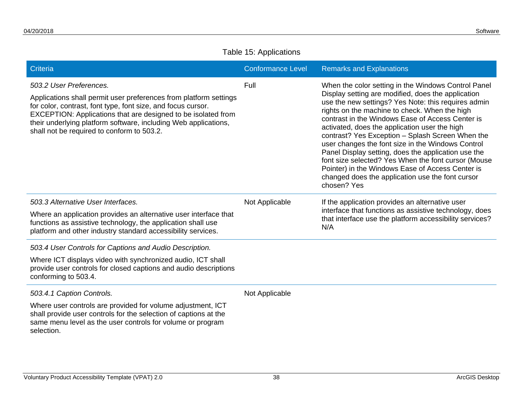#### Table 15: Applications

| Criteria                                                                                                                                                                                                                                                                                                                                       | <b>Conformance Level</b> | <b>Remarks and Explanations</b>                                                                                                                                                                                                                                                                                                                                                                                                                                                                                                                                                                                                                                      |
|------------------------------------------------------------------------------------------------------------------------------------------------------------------------------------------------------------------------------------------------------------------------------------------------------------------------------------------------|--------------------------|----------------------------------------------------------------------------------------------------------------------------------------------------------------------------------------------------------------------------------------------------------------------------------------------------------------------------------------------------------------------------------------------------------------------------------------------------------------------------------------------------------------------------------------------------------------------------------------------------------------------------------------------------------------------|
| 503.2 User Preferences.<br>Applications shall permit user preferences from platform settings<br>for color, contrast, font type, font size, and focus cursor.<br>EXCEPTION: Applications that are designed to be isolated from<br>their underlying platform software, including Web applications,<br>shall not be required to conform to 503.2. | Full                     | When the color setting in the Windows Control Panel<br>Display setting are modified, does the application<br>use the new settings? Yes Note: this requires admin<br>rights on the machine to check. When the high<br>contrast in the Windows Ease of Access Center is<br>activated, does the application user the high<br>contrast? Yes Exception - Splash Screen When the<br>user changes the font size in the Windows Control<br>Panel Display setting, does the application use the<br>font size selected? Yes When the font cursor (Mouse<br>Pointer) in the Windows Ease of Access Center is<br>changed does the application use the font cursor<br>chosen? Yes |
| 503.3 Alternative User Interfaces.<br>Where an application provides an alternative user interface that<br>functions as assistive technology, the application shall use<br>platform and other industry standard accessibility services.                                                                                                         | Not Applicable           | If the application provides an alternative user<br>interface that functions as assistive technology, does<br>that interface use the platform accessibility services?<br>N/A                                                                                                                                                                                                                                                                                                                                                                                                                                                                                          |
| 503.4 User Controls for Captions and Audio Description.                                                                                                                                                                                                                                                                                        |                          |                                                                                                                                                                                                                                                                                                                                                                                                                                                                                                                                                                                                                                                                      |
| Where ICT displays video with synchronized audio, ICT shall<br>provide user controls for closed captions and audio descriptions<br>conforming to 503.4.                                                                                                                                                                                        |                          |                                                                                                                                                                                                                                                                                                                                                                                                                                                                                                                                                                                                                                                                      |
| 503.4.1 Caption Controls.                                                                                                                                                                                                                                                                                                                      | Not Applicable           |                                                                                                                                                                                                                                                                                                                                                                                                                                                                                                                                                                                                                                                                      |
| Where user controls are provided for volume adjustment, ICT<br>shall provide user controls for the selection of captions at the<br>same menu level as the user controls for volume or program<br>selection.                                                                                                                                    |                          |                                                                                                                                                                                                                                                                                                                                                                                                                                                                                                                                                                                                                                                                      |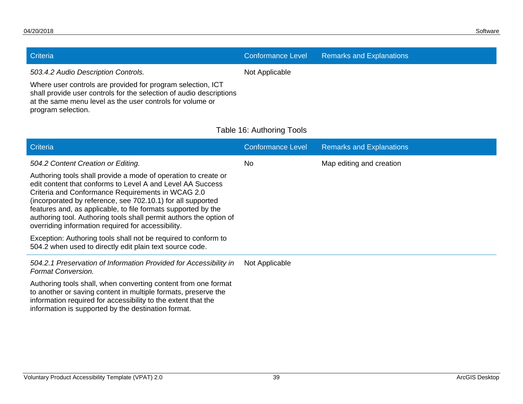| Criteria                                                                                                                                                                                                                                                                                                                                                                                                                                                                                                                                                                                                          | <b>Conformance Level</b>  | <b>Remarks and Explanations</b> |
|-------------------------------------------------------------------------------------------------------------------------------------------------------------------------------------------------------------------------------------------------------------------------------------------------------------------------------------------------------------------------------------------------------------------------------------------------------------------------------------------------------------------------------------------------------------------------------------------------------------------|---------------------------|---------------------------------|
| 503.4.2 Audio Description Controls.<br>Where user controls are provided for program selection, ICT<br>shall provide user controls for the selection of audio descriptions<br>at the same menu level as the user controls for volume or<br>program selection.                                                                                                                                                                                                                                                                                                                                                      | Not Applicable            |                                 |
|                                                                                                                                                                                                                                                                                                                                                                                                                                                                                                                                                                                                                   | Table 16: Authoring Tools |                                 |
| Criteria                                                                                                                                                                                                                                                                                                                                                                                                                                                                                                                                                                                                          | <b>Conformance Level</b>  | <b>Remarks and Explanations</b> |
| 504.2 Content Creation or Editing.<br>Authoring tools shall provide a mode of operation to create or<br>edit content that conforms to Level A and Level AA Success<br>Criteria and Conformance Requirements in WCAG 2.0<br>(incorporated by reference, see 702.10.1) for all supported<br>features and, as applicable, to file formats supported by the<br>authoring tool. Authoring tools shall permit authors the option of<br>overriding information required for accessibility.<br>Exception: Authoring tools shall not be required to conform to<br>504.2 when used to directly edit plain text source code. | <b>No</b>                 | Map editing and creation        |
| 504.2.1 Preservation of Information Provided for Accessibility in<br>Format Conversion.<br>Authoring tools shall, when converting content from one format<br>to another or saving content in multiple formats, preserve the<br>information required for accessibility to the extent that the<br>information is supported by the destination format.                                                                                                                                                                                                                                                               | Not Applicable            |                                 |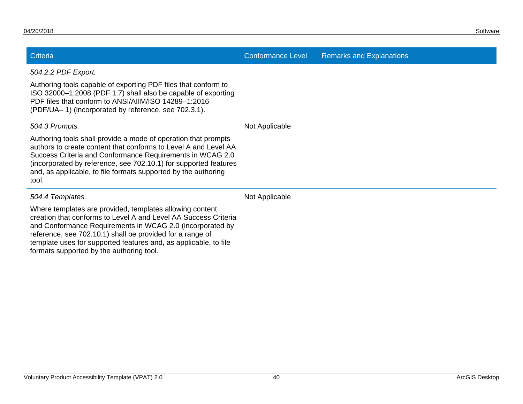| Criteria                                                                                                                                                                                                                                                                                                                                                                                  | <b>Conformance Level</b> | <b>Remarks and Explanations</b> |
|-------------------------------------------------------------------------------------------------------------------------------------------------------------------------------------------------------------------------------------------------------------------------------------------------------------------------------------------------------------------------------------------|--------------------------|---------------------------------|
| 504.2.2 PDF Export.<br>Authoring tools capable of exporting PDF files that conform to<br>ISO 32000-1:2008 (PDF 1.7) shall also be capable of exporting<br>PDF files that conform to ANSI/AIIM/ISO 14289-1:2016<br>(PDF/UA–1) (incorporated by reference, see 702.3.1).                                                                                                                    |                          |                                 |
| 504.3 Prompts.<br>Authoring tools shall provide a mode of operation that prompts<br>authors to create content that conforms to Level A and Level AA<br>Success Criteria and Conformance Requirements in WCAG 2.0<br>(incorporated by reference, see 702.10.1) for supported features<br>and, as applicable, to file formats supported by the authoring<br>tool.                           | Not Applicable           |                                 |
| 504.4 Templates.<br>Where templates are provided, templates allowing content<br>creation that conforms to Level A and Level AA Success Criteria<br>and Conformance Requirements in WCAG 2.0 (incorporated by<br>reference, see 702.10.1) shall be provided for a range of<br>template uses for supported features and, as applicable, to file<br>formats supported by the authoring tool. | Not Applicable           |                                 |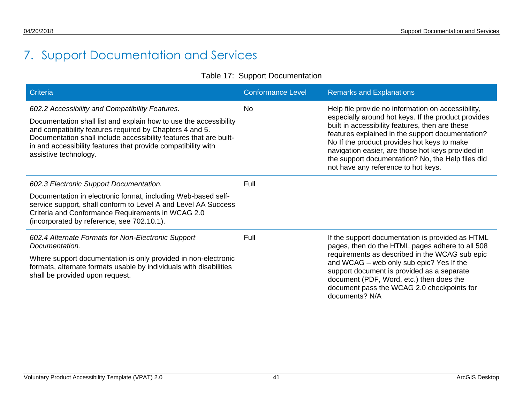# 7. Support Documentation and Services

#### Table 17: Support Documentation

<span id="page-43-0"></span>

| <b>Criteria</b>                                                                                                                                                                                                                                                                                                                                  | <b>Conformance Level</b> | <b>Remarks and Explanations</b>                                                                                                                                                                                                                                                                                                                                                                                  |
|--------------------------------------------------------------------------------------------------------------------------------------------------------------------------------------------------------------------------------------------------------------------------------------------------------------------------------------------------|--------------------------|------------------------------------------------------------------------------------------------------------------------------------------------------------------------------------------------------------------------------------------------------------------------------------------------------------------------------------------------------------------------------------------------------------------|
| 602.2 Accessibility and Compatibility Features.<br>Documentation shall list and explain how to use the accessibility<br>and compatibility features required by Chapters 4 and 5.<br>Documentation shall include accessibility features that are built-<br>in and accessibility features that provide compatibility with<br>assistive technology. | No                       | Help file provide no information on accessibility,<br>especially around hot keys. If the product provides<br>built in accessibility features, then are these<br>features explained in the support documentation?<br>No If the product provides hot keys to make<br>navigation easier, are those hot keys provided in<br>the support documentation? No, the Help files did<br>not have any reference to hot keys. |
| 602.3 Electronic Support Documentation.                                                                                                                                                                                                                                                                                                          | Full                     |                                                                                                                                                                                                                                                                                                                                                                                                                  |
| Documentation in electronic format, including Web-based self-<br>service support, shall conform to Level A and Level AA Success<br>Criteria and Conformance Requirements in WCAG 2.0<br>(incorporated by reference, see 702.10.1).                                                                                                               |                          |                                                                                                                                                                                                                                                                                                                                                                                                                  |
| 602.4 Alternate Formats for Non-Electronic Support<br>Documentation.                                                                                                                                                                                                                                                                             | Full                     | If the support documentation is provided as HTML<br>pages, then do the HTML pages adhere to all 508                                                                                                                                                                                                                                                                                                              |
| Where support documentation is only provided in non-electronic<br>formats, alternate formats usable by individuals with disabilities<br>shall be provided upon request.                                                                                                                                                                          |                          | requirements as described in the WCAG sub epic<br>and WCAG – web only sub epic? Yes If the<br>support document is provided as a separate<br>document (PDF, Word, etc.) then does the<br>document pass the WCAG 2.0 checkpoints for<br>documents? N/A                                                                                                                                                             |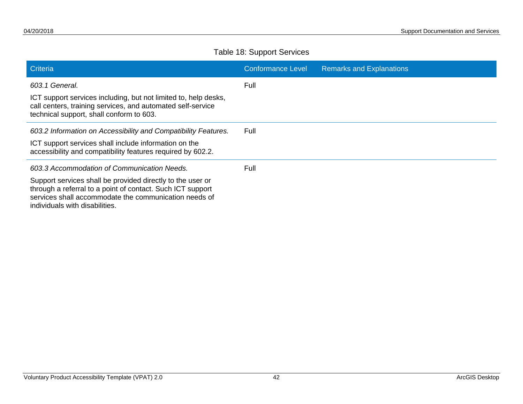#### Table 18: Support Services

| Criteria                                                                                                                                                                                                            | <b>Conformance Level</b> | <b>Remarks and Explanations</b> |
|---------------------------------------------------------------------------------------------------------------------------------------------------------------------------------------------------------------------|--------------------------|---------------------------------|
| 603.1 General.                                                                                                                                                                                                      | Full                     |                                 |
| ICT support services including, but not limited to, help desks,<br>call centers, training services, and automated self-service<br>technical support, shall conform to 603.                                          |                          |                                 |
| 603.2 Information on Accessibility and Compatibility Features.                                                                                                                                                      | Full                     |                                 |
| ICT support services shall include information on the<br>accessibility and compatibility features required by 602.2.                                                                                                |                          |                                 |
| 603.3 Accommodation of Communication Needs.                                                                                                                                                                         | Full                     |                                 |
| Support services shall be provided directly to the user or<br>through a referral to a point of contact. Such ICT support<br>services shall accommodate the communication needs of<br>individuals with disabilities. |                          |                                 |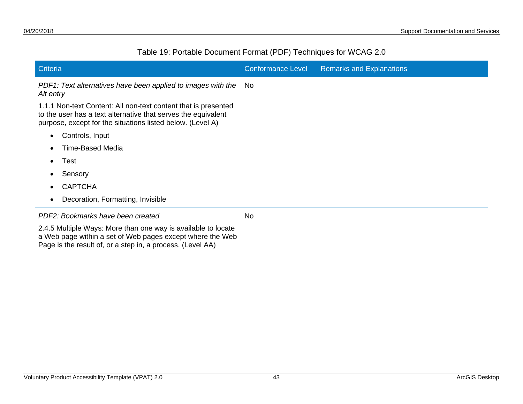#### Table 19: Portable Document Format (PDF) Techniques for WCAG 2.0

| <b>Criteria</b>                                                                                                                                                                               | <b>Conformance Level</b> | <b>Remarks and Explanations</b> |
|-----------------------------------------------------------------------------------------------------------------------------------------------------------------------------------------------|--------------------------|---------------------------------|
| PDF1: Text alternatives have been applied to images with the<br>Alt entry                                                                                                                     | No                       |                                 |
| 1.1.1 Non-text Content: All non-text content that is presented<br>to the user has a text alternative that serves the equivalent<br>purpose, except for the situations listed below. (Level A) |                          |                                 |
| Controls, Input<br>$\bullet$                                                                                                                                                                  |                          |                                 |
| Time-Based Media                                                                                                                                                                              |                          |                                 |
| Test<br>$\bullet$                                                                                                                                                                             |                          |                                 |
| Sensory                                                                                                                                                                                       |                          |                                 |
| <b>CAPTCHA</b>                                                                                                                                                                                |                          |                                 |
| Decoration, Formatting, Invisible<br>$\bullet$                                                                                                                                                |                          |                                 |
| PDF2: Bookmarks have been created                                                                                                                                                             | No                       |                                 |
| 2.4.5 Multiple Ways: More than one way is available to locate<br>a Web page within a set of Web pages except where the Web<br>Page is the result of, or a step in, a process. (Level AA)      |                          |                                 |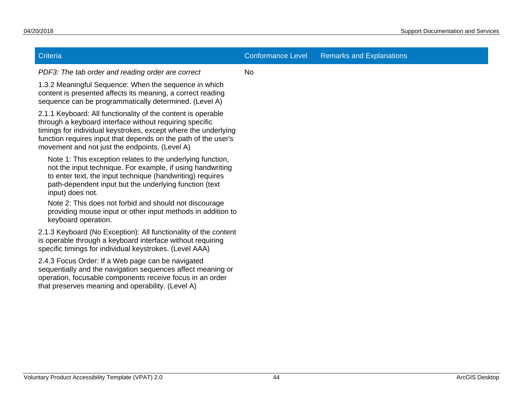| Criteria                                                                                                                                                                                                                                                                                                      | <b>Conformance Level</b> | <b>Remarks and Explanations</b> |
|---------------------------------------------------------------------------------------------------------------------------------------------------------------------------------------------------------------------------------------------------------------------------------------------------------------|--------------------------|---------------------------------|
| PDF3: The tab order and reading order are correct                                                                                                                                                                                                                                                             | <b>No</b>                |                                 |
| 1.3.2 Meaningful Sequence: When the sequence in which<br>content is presented affects its meaning, a correct reading<br>sequence can be programmatically determined. (Level A)                                                                                                                                |                          |                                 |
| 2.1.1 Keyboard: All functionality of the content is operable<br>through a keyboard interface without requiring specific<br>timings for individual keystrokes, except where the underlying<br>function requires input that depends on the path of the user's<br>movement and not just the endpoints. (Level A) |                          |                                 |
| Note 1: This exception relates to the underlying function,<br>not the input technique. For example, if using handwriting<br>to enter text, the input technique (handwriting) requires<br>path-dependent input but the underlying function (text<br>input) does not.                                           |                          |                                 |
| Note 2: This does not forbid and should not discourage<br>providing mouse input or other input methods in addition to<br>keyboard operation.                                                                                                                                                                  |                          |                                 |
| 2.1.3 Keyboard (No Exception): All functionality of the content<br>is operable through a keyboard interface without requiring<br>specific timings for individual keystrokes. (Level AAA)                                                                                                                      |                          |                                 |
| 2.4.3 Focus Order: If a Web page can be navigated<br>sequentially and the navigation sequences affect meaning or<br>operation, focusable components receive focus in an order<br>that preserves meaning and operability. (Level A)                                                                            |                          |                                 |
|                                                                                                                                                                                                                                                                                                               |                          |                                 |
|                                                                                                                                                                                                                                                                                                               |                          |                                 |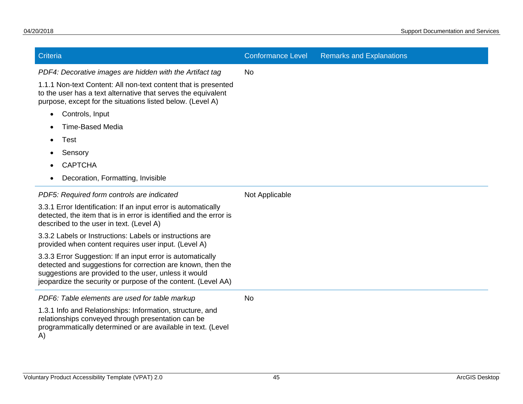| Criteria                                                                                                                                                                                                                                            | <b>Conformance Level</b> | <b>Remarks and Explanations</b> |
|-----------------------------------------------------------------------------------------------------------------------------------------------------------------------------------------------------------------------------------------------------|--------------------------|---------------------------------|
| PDF4: Decorative images are hidden with the Artifact tag                                                                                                                                                                                            | No                       |                                 |
| 1.1.1 Non-text Content: All non-text content that is presented<br>to the user has a text alternative that serves the equivalent<br>purpose, except for the situations listed below. (Level A)                                                       |                          |                                 |
| Controls, Input<br>$\bullet$                                                                                                                                                                                                                        |                          |                                 |
| <b>Time-Based Media</b>                                                                                                                                                                                                                             |                          |                                 |
| <b>Test</b>                                                                                                                                                                                                                                         |                          |                                 |
| Sensory                                                                                                                                                                                                                                             |                          |                                 |
| <b>CAPTCHA</b>                                                                                                                                                                                                                                      |                          |                                 |
| Decoration, Formatting, Invisible<br>$\bullet$                                                                                                                                                                                                      |                          |                                 |
| PDF5: Required form controls are indicated                                                                                                                                                                                                          | Not Applicable           |                                 |
| 3.3.1 Error Identification: If an input error is automatically<br>detected, the item that is in error is identified and the error is<br>described to the user in text. (Level A)                                                                    |                          |                                 |
| 3.3.2 Labels or Instructions: Labels or instructions are<br>provided when content requires user input. (Level A)                                                                                                                                    |                          |                                 |
| 3.3.3 Error Suggestion: If an input error is automatically<br>detected and suggestions for correction are known, then the<br>suggestions are provided to the user, unless it would<br>jeopardize the security or purpose of the content. (Level AA) |                          |                                 |
| PDF6: Table elements are used for table markup                                                                                                                                                                                                      | <b>No</b>                |                                 |
| 1.3.1 Info and Relationships: Information, structure, and<br>relationships conveyed through presentation can be<br>programmatically determined or are available in text. (Level<br>A)                                                               |                          |                                 |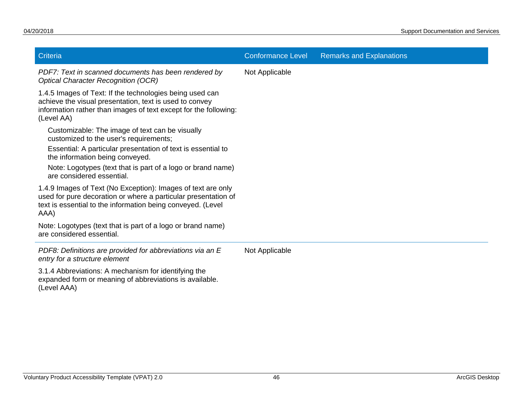| Criteria                                                                                                                                                                                              | <b>Conformance Level</b> | <b>Remarks and Explanations</b> |
|-------------------------------------------------------------------------------------------------------------------------------------------------------------------------------------------------------|--------------------------|---------------------------------|
| PDF7: Text in scanned documents has been rendered by<br><b>Optical Character Recognition (OCR)</b>                                                                                                    | Not Applicable           |                                 |
| 1.4.5 Images of Text: If the technologies being used can<br>achieve the visual presentation, text is used to convey<br>information rather than images of text except for the following:<br>(Level AA) |                          |                                 |
| Customizable: The image of text can be visually<br>customized to the user's requirements;                                                                                                             |                          |                                 |
| Essential: A particular presentation of text is essential to<br>the information being conveyed.                                                                                                       |                          |                                 |
| Note: Logotypes (text that is part of a logo or brand name)<br>are considered essential.                                                                                                              |                          |                                 |
| 1.4.9 Images of Text (No Exception): Images of text are only<br>used for pure decoration or where a particular presentation of<br>text is essential to the information being conveyed. (Level<br>AAA) |                          |                                 |
| Note: Logotypes (text that is part of a logo or brand name)<br>are considered essential.                                                                                                              |                          |                                 |
| PDF8: Definitions are provided for abbreviations via an E<br>entry for a structure element                                                                                                            | Not Applicable           |                                 |
| 3.1.4 Abbreviations: A mechanism for identifying the<br>expanded form or meaning of abbreviations is available.<br>(Level AAA)                                                                        |                          |                                 |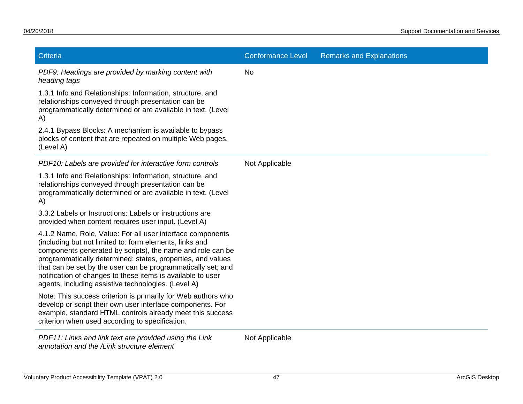| <b>Criteria</b>                                                                                                                                                                                                                                                                                                                                                                                                                          | <b>Conformance Level</b> | <b>Remarks and Explanations</b> |
|------------------------------------------------------------------------------------------------------------------------------------------------------------------------------------------------------------------------------------------------------------------------------------------------------------------------------------------------------------------------------------------------------------------------------------------|--------------------------|---------------------------------|
| PDF9: Headings are provided by marking content with<br>heading tags                                                                                                                                                                                                                                                                                                                                                                      | No                       |                                 |
| 1.3.1 Info and Relationships: Information, structure, and<br>relationships conveyed through presentation can be<br>programmatically determined or are available in text. (Level<br>A)                                                                                                                                                                                                                                                    |                          |                                 |
| 2.4.1 Bypass Blocks: A mechanism is available to bypass<br>blocks of content that are repeated on multiple Web pages.<br>(Level A)                                                                                                                                                                                                                                                                                                       |                          |                                 |
| PDF10: Labels are provided for interactive form controls                                                                                                                                                                                                                                                                                                                                                                                 | Not Applicable           |                                 |
| 1.3.1 Info and Relationships: Information, structure, and<br>relationships conveyed through presentation can be<br>programmatically determined or are available in text. (Level<br>A)                                                                                                                                                                                                                                                    |                          |                                 |
| 3.3.2 Labels or Instructions: Labels or instructions are<br>provided when content requires user input. (Level A)                                                                                                                                                                                                                                                                                                                         |                          |                                 |
| 4.1.2 Name, Role, Value: For all user interface components<br>(including but not limited to: form elements, links and<br>components generated by scripts), the name and role can be<br>programmatically determined; states, properties, and values<br>that can be set by the user can be programmatically set; and<br>notification of changes to these items is available to user<br>agents, including assistive technologies. (Level A) |                          |                                 |
| Note: This success criterion is primarily for Web authors who<br>develop or script their own user interface components. For<br>example, standard HTML controls already meet this success<br>criterion when used according to specification.                                                                                                                                                                                              |                          |                                 |
| PDF11: Links and link text are provided using the Link<br>annotation and the /Link structure element                                                                                                                                                                                                                                                                                                                                     | Not Applicable           |                                 |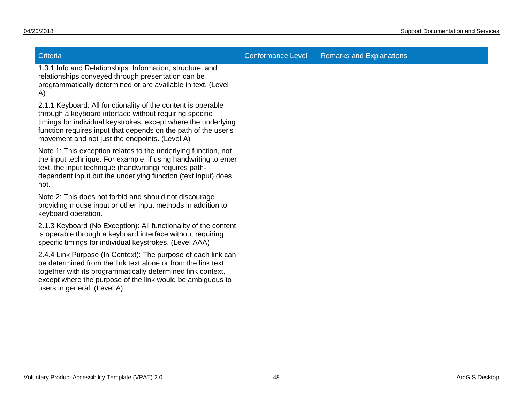Criteria Conformance Level Remarks and Explanations

1.3.1 Info and Relationships: Information, structure, and relationships conveyed through presentation can be programmatically determined or are available in text. (Level A)

2.1.1 Keyboard: All functionality of the content is operable through a keyboard interface without requiring specific timings for individual keystrokes, except where the underlying function requires input that depends on the path of the user's movement and not just the endpoints. (Level A)

Note 1: This exception relates to the underlying function, not the input technique. For example, if using handwriting to enter text, the input technique (handwriting) requires pathdependent input but the underlying function (text input) does not.

Note 2: This does not forbid and should not discourage providing mouse input or other input methods in addition to keyboard operation.

2.1.3 Keyboard (No Exception): All functionality of the content is operable through a keyboard interface without requiring specific timings for individual keystrokes. (Level AAA)

2.4.4 Link Purpose (In Context): The purpose of each link can be determined from the link text alone or from the link text together with its programmatically determined link context, except where the purpose of the link would be ambiguous to users in general. (Level A)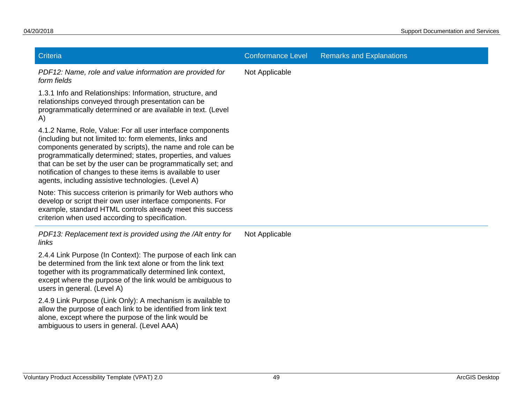| Criteria                                                                                                                                                                                                                                                                                                                                                                                                                                 | <b>Conformance Level</b> | <b>Remarks and Explanations</b> |
|------------------------------------------------------------------------------------------------------------------------------------------------------------------------------------------------------------------------------------------------------------------------------------------------------------------------------------------------------------------------------------------------------------------------------------------|--------------------------|---------------------------------|
| PDF12: Name, role and value information are provided for<br>form fields                                                                                                                                                                                                                                                                                                                                                                  | Not Applicable           |                                 |
| 1.3.1 Info and Relationships: Information, structure, and<br>relationships conveyed through presentation can be<br>programmatically determined or are available in text. (Level<br>A)                                                                                                                                                                                                                                                    |                          |                                 |
| 4.1.2 Name, Role, Value: For all user interface components<br>(including but not limited to: form elements, links and<br>components generated by scripts), the name and role can be<br>programmatically determined; states, properties, and values<br>that can be set by the user can be programmatically set; and<br>notification of changes to these items is available to user<br>agents, including assistive technologies. (Level A) |                          |                                 |
| Note: This success criterion is primarily for Web authors who<br>develop or script their own user interface components. For<br>example, standard HTML controls already meet this success<br>criterion when used according to specification.                                                                                                                                                                                              |                          |                                 |
| PDF13: Replacement text is provided using the /Alt entry for<br>links                                                                                                                                                                                                                                                                                                                                                                    | Not Applicable           |                                 |
| 2.4.4 Link Purpose (In Context): The purpose of each link can<br>be determined from the link text alone or from the link text<br>together with its programmatically determined link context,<br>except where the purpose of the link would be ambiguous to<br>users in general. (Level A)                                                                                                                                                |                          |                                 |
| 2.4.9 Link Purpose (Link Only): A mechanism is available to<br>allow the purpose of each link to be identified from link text<br>alone, except where the purpose of the link would be<br>ambiguous to users in general. (Level AAA)                                                                                                                                                                                                      |                          |                                 |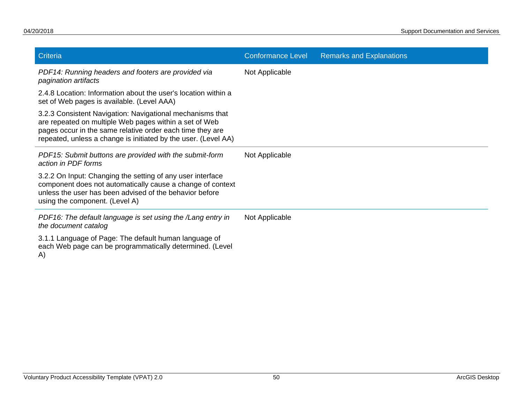| Criteria                                                                                                                                                                                                                                           | <b>Conformance Level</b> | <b>Remarks and Explanations</b> |
|----------------------------------------------------------------------------------------------------------------------------------------------------------------------------------------------------------------------------------------------------|--------------------------|---------------------------------|
| PDF14: Running headers and footers are provided via<br>pagination artifacts                                                                                                                                                                        | Not Applicable           |                                 |
| 2.4.8 Location: Information about the user's location within a<br>set of Web pages is available. (Level AAA)                                                                                                                                       |                          |                                 |
| 3.2.3 Consistent Navigation: Navigational mechanisms that<br>are repeated on multiple Web pages within a set of Web<br>pages occur in the same relative order each time they are<br>repeated, unless a change is initiated by the user. (Level AA) |                          |                                 |
| PDF15: Submit buttons are provided with the submit-form<br>action in PDF forms                                                                                                                                                                     | Not Applicable           |                                 |
| 3.2.2 On Input: Changing the setting of any user interface<br>component does not automatically cause a change of context<br>unless the user has been advised of the behavior before<br>using the component. (Level A)                              |                          |                                 |
| PDF16: The default language is set using the /Lang entry in<br>the document catalog                                                                                                                                                                | Not Applicable           |                                 |
| 3.1.1 Language of Page: The default human language of<br>each Web page can be programmatically determined. (Level<br>A)                                                                                                                            |                          |                                 |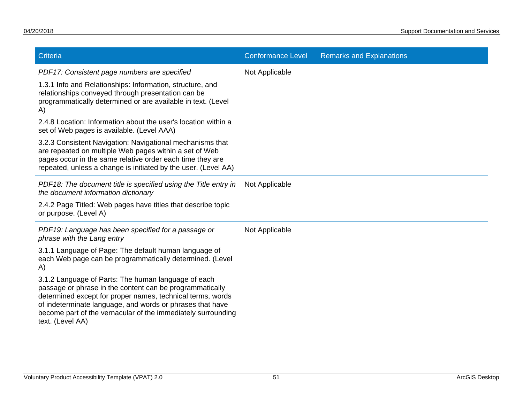| <b>Criteria</b>                                                                                                                                                                                                                                                                                                                | <b>Conformance Level</b> | <b>Remarks and Explanations</b> |
|--------------------------------------------------------------------------------------------------------------------------------------------------------------------------------------------------------------------------------------------------------------------------------------------------------------------------------|--------------------------|---------------------------------|
| PDF17: Consistent page numbers are specified                                                                                                                                                                                                                                                                                   | Not Applicable           |                                 |
| 1.3.1 Info and Relationships: Information, structure, and<br>relationships conveyed through presentation can be<br>programmatically determined or are available in text. (Level<br>A)                                                                                                                                          |                          |                                 |
| 2.4.8 Location: Information about the user's location within a<br>set of Web pages is available. (Level AAA)                                                                                                                                                                                                                   |                          |                                 |
| 3.2.3 Consistent Navigation: Navigational mechanisms that<br>are repeated on multiple Web pages within a set of Web<br>pages occur in the same relative order each time they are<br>repeated, unless a change is initiated by the user. (Level AA)                                                                             |                          |                                 |
| PDF18: The document title is specified using the Title entry in<br>the document information dictionary                                                                                                                                                                                                                         | Not Applicable           |                                 |
| 2.4.2 Page Titled: Web pages have titles that describe topic<br>or purpose. (Level A)                                                                                                                                                                                                                                          |                          |                                 |
| PDF19: Language has been specified for a passage or<br>phrase with the Lang entry                                                                                                                                                                                                                                              | Not Applicable           |                                 |
| 3.1.1 Language of Page: The default human language of<br>each Web page can be programmatically determined. (Level<br>A)                                                                                                                                                                                                        |                          |                                 |
| 3.1.2 Language of Parts: The human language of each<br>passage or phrase in the content can be programmatically<br>determined except for proper names, technical terms, words<br>of indeterminate language, and words or phrases that have<br>become part of the vernacular of the immediately surrounding<br>text. (Level AA) |                          |                                 |